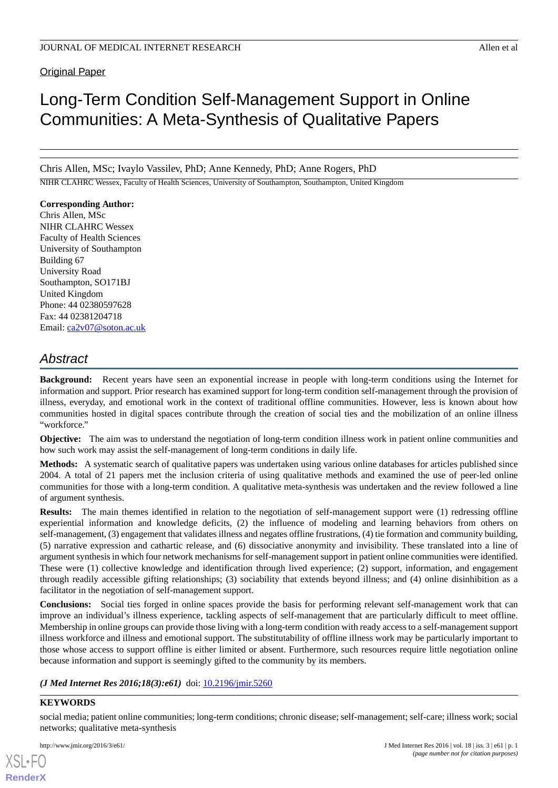## Original Paper

# Long-Term Condition Self-Management Support in Online Communities: A Meta-Synthesis of Qualitative Papers

Chris Allen, MSc; Ivaylo Vassilev, PhD; Anne Kennedy, PhD; Anne Rogers, PhD

NIHR CLAHRC Wessex, Faculty of Health Sciences, University of Southampton, Southampton, United Kingdom

#### **Corresponding Author:**

Chris Allen, MSc NIHR CLAHRC Wessex Faculty of Health Sciences University of Southampton Building 67 University Road Southampton, SO171BJ United Kingdom Phone: 44 02380597628 Fax: 44 02381204718 Email: [ca2v07@soton.ac.uk](mailto:ca2v07@soton.ac.uk)

## *Abstract*

**Background:** Recent years have seen an exponential increase in people with long-term conditions using the Internet for information and support. Prior research has examined support for long-term condition self-management through the provision of illness, everyday, and emotional work in the context of traditional offline communities. However, less is known about how communities hosted in digital spaces contribute through the creation of social ties and the mobilization of an online illness "workforce."

**Objective:** The aim was to understand the negotiation of long-term condition illness work in patient online communities and how such work may assist the self-management of long-term conditions in daily life.

**Methods:** A systematic search of qualitative papers was undertaken using various online databases for articles published since 2004. A total of 21 papers met the inclusion criteria of using qualitative methods and examined the use of peer-led online communities for those with a long-term condition. A qualitative meta-synthesis was undertaken and the review followed a line of argument synthesis.

**Results:** The main themes identified in relation to the negotiation of self-management support were (1) redressing offline experiential information and knowledge deficits, (2) the influence of modeling and learning behaviors from others on self-management, (3) engagement that validates illness and negates offline frustrations, (4) tie formation and community building, (5) narrative expression and cathartic release, and (6) dissociative anonymity and invisibility. These translated into a line of argument synthesis in which four network mechanisms for self-management support in patient online communities were identified. These were (1) collective knowledge and identification through lived experience; (2) support, information, and engagement through readily accessible gifting relationships; (3) sociability that extends beyond illness; and (4) online disinhibition as a facilitator in the negotiation of self-management support.

**Conclusions:** Social ties forged in online spaces provide the basis for performing relevant self-management work that can improve an individual's illness experience, tackling aspects of self-management that are particularly difficult to meet offline. Membership in online groups can provide those living with a long-term condition with ready access to a self-management support illness workforce and illness and emotional support. The substitutability of offline illness work may be particularly important to those whose access to support offline is either limited or absent. Furthermore, such resources require little negotiation online because information and support is seemingly gifted to the community by its members.

#### (*J Med Internet Res 2016;18(3):e61*) doi:  $10.2196/$ jmir.5260

#### **KEYWORDS**

[XSL](http://www.w3.org/Style/XSL)•FO **[RenderX](http://www.renderx.com/)**

social media; patient online communities; long-term conditions; chronic disease; self-management; self-care; illness work; social networks; qualitative meta-synthesis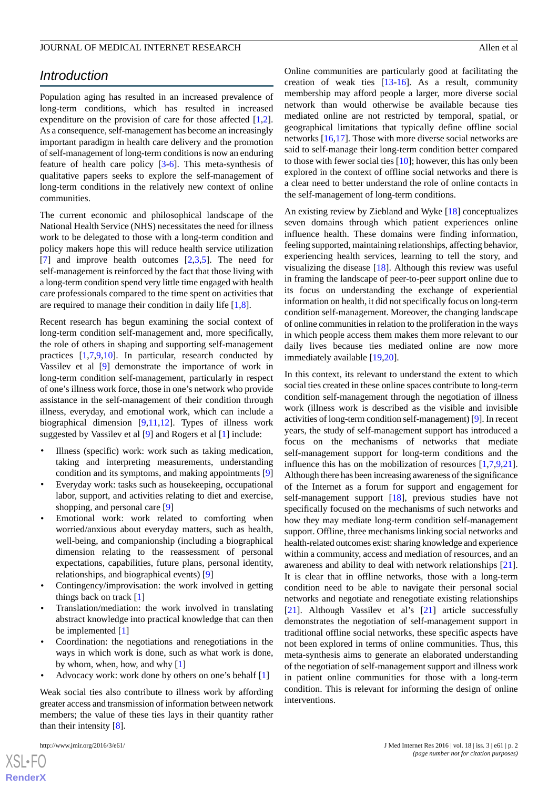## *Introduction*

Population aging has resulted in an increased prevalence of long-term conditions, which has resulted in increased expenditure on the provision of care for those affected [\[1](#page-12-0),[2\]](#page-13-0). As a consequence, self-management has become an increasingly important paradigm in health care delivery and the promotion of self-management of long-term conditions is now an enduring feature of health care policy [\[3](#page-13-1)-[6\]](#page-13-2). This meta-synthesis of qualitative papers seeks to explore the self-management of long-term conditions in the relatively new context of online communities.

The current economic and philosophical landscape of the National Health Service (NHS) necessitates the need for illness work to be delegated to those with a long-term condition and policy makers hope this will reduce health service utilization [[7\]](#page-13-3) and improve health outcomes  $[2,3,5]$  $[2,3,5]$  $[2,3,5]$  $[2,3,5]$  $[2,3,5]$ . The need for self-management is reinforced by the fact that those living with a long-term condition spend very little time engaged with health care professionals compared to the time spent on activities that are required to manage their condition in daily life [[1,](#page-12-0)[8](#page-13-5)].

Recent research has begun examining the social context of long-term condition self-management and, more specifically, the role of others in shaping and supporting self-management practices [[1](#page-12-0)[,7](#page-13-3),[9](#page-13-6)[,10](#page-13-7)]. In particular, research conducted by Vassilev et al [\[9](#page-13-6)] demonstrate the importance of work in long-term condition self-management, particularly in respect of one's illness work force, those in one's network who provide assistance in the self-management of their condition through illness, everyday, and emotional work, which can include a biographical dimension [[9](#page-13-6)[,11](#page-13-8),[12\]](#page-13-9). Types of illness work suggested by Vassilev et al [\[9](#page-13-6)] and Rogers et al [[1\]](#page-12-0) include:

- Illness (specific) work: work such as taking medication, taking and interpreting measurements, understanding condition and its symptoms, and making appointments [\[9](#page-13-6)]
- Everyday work: tasks such as housekeeping, occupational labor, support, and activities relating to diet and exercise, shopping, and personal care [[9\]](#page-13-6)
- Emotional work: work related to comforting when worried/anxious about everyday matters, such as health, well-being, and companionship (including a biographical dimension relating to the reassessment of personal expectations, capabilities, future plans, personal identity, relationships, and biographical events) [\[9](#page-13-6)]
- Contingency/improvisation: the work involved in getting things back on track [\[1](#page-12-0)]
- Translation/mediation: the work involved in translating abstract knowledge into practical knowledge that can then be implemented [[1](#page-12-0)]
- Coordination: the negotiations and renegotiations in the ways in which work is done, such as what work is done, by whom, when, how, and why [[1\]](#page-12-0)
- Advocacy work: work done by others on one's behalf [\[1](#page-12-0)]

Weak social ties also contribute to illness work by affording greater access and transmission of information between network members; the value of these ties lays in their quantity rather than their intensity [\[8](#page-13-5)].

Online communities are particularly good at facilitating the creation of weak ties [\[13](#page-13-10)-[16\]](#page-13-11). As a result, community membership may afford people a larger, more diverse social network than would otherwise be available because ties mediated online are not restricted by temporal, spatial, or geographical limitations that typically define offline social networks [[16,](#page-13-11)[17](#page-13-12)]. Those with more diverse social networks are said to self-manage their long-term condition better compared to those with fewer social ties [[10\]](#page-13-7); however, this has only been explored in the context of offline social networks and there is a clear need to better understand the role of online contacts in the self-management of long-term conditions.

An existing review by Ziebland and Wyke [\[18](#page-13-13)] conceptualizes seven domains through which patient experiences online influence health. These domains were finding information, feeling supported, maintaining relationships, affecting behavior, experiencing health services, learning to tell the story, and visualizing the disease [[18\]](#page-13-13). Although this review was useful in framing the landscape of peer-to-peer support online due to its focus on understanding the exchange of experiential information on health, it did not specifically focus on long-term condition self-management. Moreover, the changing landscape of online communities in relation to the proliferation in the ways in which people access them makes them more relevant to our daily lives because ties mediated online are now more immediately available [[19,](#page-13-14)[20](#page-13-15)].

In this context, its relevant to understand the extent to which social ties created in these online spaces contribute to long-term condition self-management through the negotiation of illness work (illness work is described as the visible and invisible activities of long-term condition self-management) [\[9](#page-13-6)]. In recent years, the study of self-management support has introduced a focus on the mechanisms of networks that mediate self-management support for long-term conditions and the influence this has on the mobilization of resources [\[1](#page-12-0),[7](#page-13-3)[,9](#page-13-6),[21\]](#page-13-16). Although there has been increasing awareness of the significance of the Internet as a forum for support and engagement for self-management support [\[18](#page-13-13)], previous studies have not specifically focused on the mechanisms of such networks and how they may mediate long-term condition self-management support. Offline, three mechanisms linking social networks and health-related outcomes exist: sharing knowledge and experience within a community, access and mediation of resources, and an awareness and ability to deal with network relationships [[21\]](#page-13-16). It is clear that in offline networks, those with a long-term condition need to be able to navigate their personal social networks and negotiate and renegotiate existing relationships [[21\]](#page-13-16). Although Vassilev et al's [[21\]](#page-13-16) article successfully demonstrates the negotiation of self-management support in traditional offline social networks, these specific aspects have not been explored in terms of online communities. Thus, this meta-synthesis aims to generate an elaborated understanding of the negotiation of self-management support and illness work in patient online communities for those with a long-term condition. This is relevant for informing the design of online interventions.

 $XS$ -FO **[RenderX](http://www.renderx.com/)**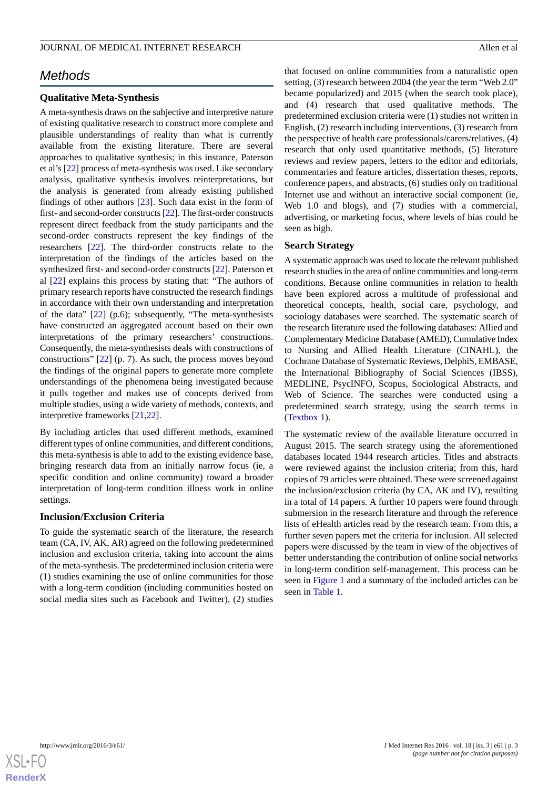## *Methods*

#### **Qualitative Meta-Synthesis**

A meta-synthesis draws on the subjective and interpretive nature of existing qualitative research to construct more complete and plausible understandings of reality than what is currently available from the existing literature. There are several approaches to qualitative synthesis; in this instance, Paterson et al's [\[22](#page-13-17)] process of meta-synthesis was used. Like secondary analysis, qualitative synthesis involves reinterpretations, but the analysis is generated from already existing published findings of other authors [[23\]](#page-13-18). Such data exist in the form of first- and second-order constructs [\[22](#page-13-17)]. The first-order constructs represent direct feedback from the study participants and the second-order constructs represent the key findings of the researchers [\[22](#page-13-17)]. The third-order constructs relate to the interpretation of the findings of the articles based on the synthesized first- and second-order constructs [[22\]](#page-13-17). Paterson et al [[22\]](#page-13-17) explains this process by stating that: "The authors of primary research reports have constructed the research findings in accordance with their own understanding and interpretation of the data" [[22\]](#page-13-17) (p.6); subsequently, "The meta-synthesists have constructed an aggregated account based on their own interpretations of the primary researchers' constructions. Consequently, the meta-synthesists deals with constructions of constructions" [\[22](#page-13-17)] (p. 7). As such, the process moves beyond the findings of the original papers to generate more complete understandings of the phenomena being investigated because it pulls together and makes use of concepts derived from multiple studies, using a wide variety of methods, contexts, and interpretive frameworks [[21](#page-13-16)[,22](#page-13-17)].

By including articles that used different methods, examined different types of online communities, and different conditions, this meta-synthesis is able to add to the existing evidence base, bringing research data from an initially narrow focus (ie, a specific condition and online community) toward a broader interpretation of long-term condition illness work in online settings.

#### **Inclusion/Exclusion Criteria**

To guide the systematic search of the literature, the research team (CA, IV, AK, AR) agreed on the following predetermined inclusion and exclusion criteria, taking into account the aims of the meta-synthesis. The predetermined inclusion criteria were (1) studies examining the use of online communities for those with a long-term condition (including communities hosted on social media sites such as Facebook and Twitter), (2) studies

that focused on online communities from a naturalistic open setting, (3) research between 2004 (the year the term "Web 2.0" became popularized) and 2015 (when the search took place), and (4) research that used qualitative methods. The predetermined exclusion criteria were (1) studies not written in English, (2) research including interventions, (3) research from the perspective of health care professionals/carers/relatives, (4) research that only used quantitative methods, (5) literature reviews and review papers, letters to the editor and editorials, commentaries and feature articles, dissertation theses, reports, conference papers, and abstracts, (6) studies only on traditional Internet use and without an interactive social component (ie, Web 1.0 and blogs), and (7) studies with a commercial, advertising, or marketing focus, where levels of bias could be seen as high.

#### **Search Strategy**

A systematic approach was used to locate the relevant published research studies in the area of online communities and long-term conditions. Because online communities in relation to health have been explored across a multitude of professional and theoretical concepts, health, social care, psychology, and sociology databases were searched. The systematic search of the research literature used the following databases: Allied and Complementary Medicine Database (AMED), Cumulative Index to Nursing and Allied Health Literature (CINAHL), the Cochrane Database of Systematic Reviews, DelphiS, EMBASE, the International Bibliography of Social Sciences (IBSS), MEDLINE, PsycINFO, Scopus, Sociological Abstracts, and Web of Science. The searches were conducted using a predetermined search strategy, using the search terms in ([Textbox 1\)](#page-4-0).

The systematic review of the available literature occurred in August 2015. The search strategy using the aforementioned databases located 1944 research articles. Titles and abstracts were reviewed against the inclusion criteria; from this, hard copies of 79 articles were obtained. These were screened against the inclusion/exclusion criteria (by CA, AK and IV), resulting in a total of 14 papers. A further 10 papers were found through submersion in the research literature and through the reference lists of eHealth articles read by the research team. From this, a further seven papers met the criteria for inclusion. All selected papers were discussed by the team in view of the objectives of better understanding the contribution of online social networks in long-term condition self-management. This process can be seen in [Figure 1](#page-5-0) and a summary of the included articles can be seen in [Table 1.](#page-3-0)

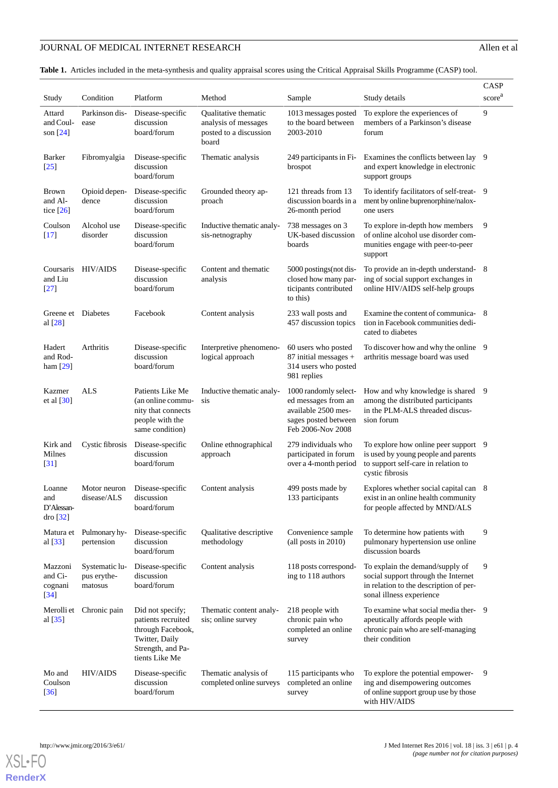## JOURNAL OF MEDICAL INTERNET RESEARCH Allen et al

<span id="page-3-0"></span>**Table 1.** Articles included in the meta-synthesis and quality appraisal scores using the Critical Appraisal Skills Programme (CASP) tool.

| Study                                              | Condition                                | Platform                                                                                                             | Method                                                                          | Sample                                                                                                           | Study details                                                                                                                                | CASP<br>score <sup>a</sup> |
|----------------------------------------------------|------------------------------------------|----------------------------------------------------------------------------------------------------------------------|---------------------------------------------------------------------------------|------------------------------------------------------------------------------------------------------------------|----------------------------------------------------------------------------------------------------------------------------------------------|----------------------------|
| Attard<br>and Coul-<br>son $[24]$                  | Parkinson dis-<br>ease                   | Disease-specific<br>discussion<br>board/forum                                                                        | Qualitative thematic<br>analysis of messages<br>posted to a discussion<br>board | 1013 messages posted<br>to the board between<br>2003-2010                                                        | To explore the experiences of<br>members of a Parkinson's disease<br>forum                                                                   | 9                          |
| Barker<br>$[25]$                                   | Fibromyalgia                             | Disease-specific<br>discussion<br>board/forum                                                                        | Thematic analysis                                                               | 249 participants in Fi-<br><b>brospot</b>                                                                        | Examines the conflicts between lay 9<br>and expert knowledge in electronic<br>support groups                                                 |                            |
| <b>Brown</b><br>and Al-<br>tice $[26]$             | Opioid depen-<br>dence                   | Disease-specific<br>discussion<br>board/forum                                                                        | Grounded theory ap-<br>proach                                                   | 121 threads from 13<br>discussion boards in a<br>26-month period                                                 | To identify facilitators of self-treat-<br>ment by online buprenorphine/nalox-<br>one users                                                  | - 9                        |
| Coulson<br>$[17]$                                  | Alcohol use<br>disorder                  | Disease-specific<br>discussion<br>board/forum                                                                        | Inductive thematic analy-<br>sis-netnography                                    | 738 messages on 3<br>UK-based discussion<br>boards                                                               | To explore in-depth how members<br>of online alcohol use disorder com-<br>munities engage with peer-to-peer<br>support                       | 9                          |
| Coursaris<br>and Liu<br>$[27]$                     | <b>HIV/AIDS</b>                          | Disease-specific<br>discussion<br>board/forum                                                                        | Content and thematic<br>analysis                                                | 5000 postings (not dis-<br>closed how many par-<br>ticipants contributed<br>to this)                             | To provide an in-depth understand-8<br>ing of social support exchanges in<br>online HIV/AIDS self-help groups                                |                            |
| Greene et Diabetes<br>al $[28]$                    |                                          | Facebook                                                                                                             | Content analysis                                                                | 233 wall posts and<br>457 discussion topics                                                                      | Examine the content of communica-<br>tion in Facebook communities dedi-<br>cated to diabetes                                                 | - 8                        |
| Hadert<br>and Rod-<br>ham $[29]$                   | Arthritis                                | Disease-specific<br>discussion<br>board/forum                                                                        | Interpretive phenomeno-<br>logical approach                                     | 60 users who posted<br>$87$ initial messages +<br>314 users who posted<br>981 replies                            | To discover how and why the online 9<br>arthritis message board was used                                                                     |                            |
| Kazmer<br>et al $[30]$                             | <b>ALS</b>                               | Patients Like Me<br>(an online commu-<br>nity that connects<br>people with the<br>same condition)                    | Inductive thematic analy-<br>sis                                                | 1000 randomly select-<br>ed messages from an<br>available 2500 mes-<br>sages posted between<br>Feb 2006-Nov 2008 | How and why knowledge is shared<br>among the distributed participants<br>in the PLM-ALS threaded discus-<br>sion forum                       | 9                          |
| Kirk and<br>Milnes<br>[31]                         | Cystic fibrosis                          | Disease-specific<br>discussion<br>board/forum                                                                        | Online ethnographical<br>approach                                               | 279 individuals who<br>participated in forum<br>over a 4-month period                                            | To explore how online peer support 9<br>is used by young people and parents<br>to support self-care in relation to<br>cystic fibrosis        |                            |
| Loanne<br>and<br>D'Alessan-<br>dro [32]            | Motor neuron<br>disease/ALS              | Disease-specific<br>discussion<br>board/forum                                                                        | Content analysis                                                                | 499 posts made by<br>133 participants                                                                            | Explores whether social capital can 8<br>exist in an online health community<br>for people affected by MND/ALS                               |                            |
| Matura et<br>al $[33]$                             | Pulmonary hy-<br>pertension              | Disease-specific<br>discussion<br>board/forum                                                                        | Qualitative descriptive<br>methodology                                          | Convenience sample<br>(all posts in 2010)                                                                        | To determine how patients with<br>pulmonary hypertension use online<br>discussion boards                                                     | 9                          |
| Mazzoni<br>and Ci-<br>cognani<br>$\left[34\right]$ | Systematic lu-<br>pus erythe-<br>matosus | Disease-specific<br>discussion<br>board/forum                                                                        | Content analysis                                                                | 118 posts correspond-<br>ing to 118 authors                                                                      | To explain the demand/supply of<br>social support through the Internet<br>in relation to the description of per-<br>sonal illness experience | 9                          |
| Merolli et<br>al $[35]$                            | Chronic pain                             | Did not specify;<br>patients recruited<br>through Facebook,<br>Twitter, Daily<br>Strength, and Pa-<br>tients Like Me | Thematic content analy-<br>sis; online survey                                   | 218 people with<br>chronic pain who<br>completed an online<br>survey                                             | To examine what social media ther- 9<br>apeutically affords people with<br>chronic pain who are self-managing<br>their condition             |                            |
| Mo and<br>Coulson<br>[36]                          | <b>HIV/AIDS</b>                          | Disease-specific<br>discussion<br>board/forum                                                                        | Thematic analysis of<br>completed online surveys                                | 115 participants who<br>completed an online<br>survey                                                            | To explore the potential empower-<br>ing and disempowering outcomes<br>of online support group use by those<br>with HIV/AIDS                 | 9                          |



**[RenderX](http://www.renderx.com/)**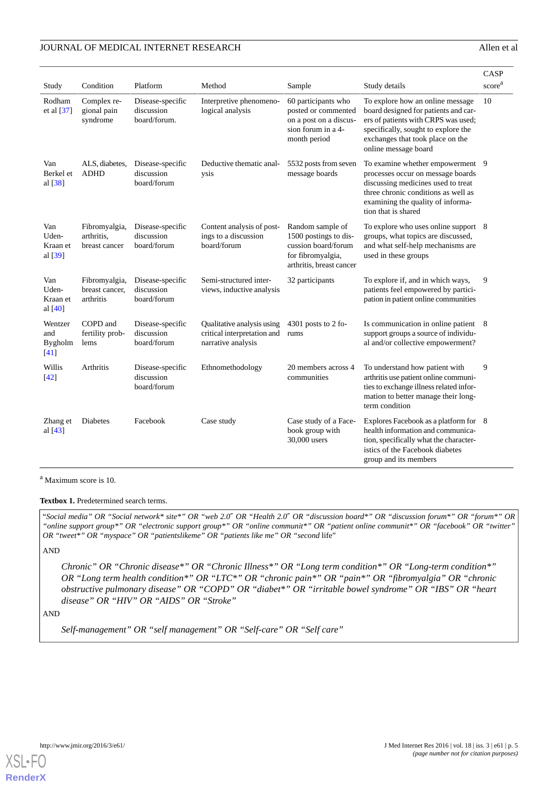|                                       |                                              |                                                |                                                                                 |                                                                                                                   |                                                                                                                                                                                                                    | CASP                                                |
|---------------------------------------|----------------------------------------------|------------------------------------------------|---------------------------------------------------------------------------------|-------------------------------------------------------------------------------------------------------------------|--------------------------------------------------------------------------------------------------------------------------------------------------------------------------------------------------------------------|-----------------------------------------------------|
| Study                                 | Condition                                    | Platform                                       | Method                                                                          | Sample                                                                                                            | Study details                                                                                                                                                                                                      | $\ensuremath{\text{score}}^{\ensuremath{\text{a}}}$ |
| Rodham<br>et al [37]                  | Complex re-<br>gional pain<br>syndrome       | Disease-specific<br>discussion<br>board/forum. | Interpretive phenomeno-<br>logical analysis                                     | 60 participants who<br>posted or commented<br>on a post on a discus-<br>sion forum in a 4-<br>month period        | To explore how an online message<br>board designed for patients and car-<br>ers of patients with CRPS was used;<br>specifically, sought to explore the<br>exchanges that took place on the<br>online message board | 10                                                  |
| Van<br>Berkel et<br>al $[38]$         | ALS, diabetes,<br><b>ADHD</b>                | Disease-specific<br>discussion<br>board/forum  | Deductive thematic anal-<br>ysis                                                | 5532 posts from seven<br>message boards                                                                           | To examine whether empowerment 9<br>processes occur on message boards<br>discussing medicines used to treat<br>three chronic conditions as well as<br>examining the quality of informa-<br>tion that is shared     |                                                     |
| Van<br>Uden-<br>Kraan et<br>al [39]   | Fibromyalgia,<br>arthritis.<br>breast cancer | Disease-specific<br>discussion<br>board/forum  | Content analysis of post-<br>ings to a discussion<br>board/forum                | Random sample of<br>1500 postings to dis-<br>cussion board/forum<br>for fibromyalgia,<br>arthritis, breast cancer | To explore who uses online support 8<br>groups, what topics are discussed,<br>and what self-help mechanisms are<br>used in these groups                                                                            |                                                     |
| Van<br>Uden-<br>Kraan et<br>al $[40]$ | Fibromyalgia,<br>breast cancer,<br>arthritis | Disease-specific<br>discussion<br>board/forum  | Semi-structured inter-<br>views, inductive analysis                             | 32 participants                                                                                                   | To explore if, and in which ways,<br>patients feel empowered by partici-<br>pation in patient online communities                                                                                                   | 9                                                   |
| Wentzer<br>and<br>Bygholm<br>[41]     | COPD and<br>fertility prob-<br>lems          | Disease-specific<br>discussion<br>board/forum  | Qualitative analysis using<br>critical interpretation and<br>narrative analysis | $4301$ posts to 2 fo-<br>rums                                                                                     | Is communication in online patient 8<br>support groups a source of individu-<br>al and/or collective empowerment?                                                                                                  |                                                     |
| Willis<br>$[42]$                      | Arthritis                                    | Disease-specific<br>discussion<br>board/forum  | Ethnomethodology                                                                | 20 members across 4<br>communities                                                                                | To understand how patient with<br>arthritis use patient online communi-<br>ties to exchange illness related infor-<br>mation to better manage their long-<br>term condition                                        | 9                                                   |
| Zhang et<br>al $[43]$                 | Diabetes                                     | Facebook                                       | Case study                                                                      | Case study of a Face-<br>book group with<br>30,000 users                                                          | Explores Facebook as a platform for 8<br>health information and communica-<br>tion, specifically what the character-<br>istics of the Facebook diabetes<br>group and its members                                   |                                                     |

#### <span id="page-4-0"></span><sup>a</sup> Maximum score is 10.

#### Textbox 1. Predetermined search terms.

"*Social media" OR "Social network\* site\*" OR "web 2.0*″ *OR "Health 2.0*″ *OR "discussion board\*" OR "discussion forum\*" OR "forum\*" OR "online support group\*" OR "electronic support group\*" OR "online communit\*" OR "patient online communit\*" OR "facebook" OR "twitter" OR "tweet\*" OR "myspace" OR "patientslikeme" OR "patients like me" OR "second* life"

AND

*Chronic" OR "Chronic disease\*" OR "Chronic Illness\*" OR "Long term condition\*" OR "Long-term condition\*" OR "Long term health condition\*" OR "LTC\*" OR "chronic pain\*" OR "pain\*" OR "fibromyalgia" OR "chronic obstructive pulmonary disease" OR "COPD" OR "diabet\*" OR "irritable bowel syndrome" OR "IBS" OR "heart disease" OR "HIV" OR "AIDS" OR "Stroke"*

AND

*Self-management" OR "self management" OR "Self-care" OR "Self care"*

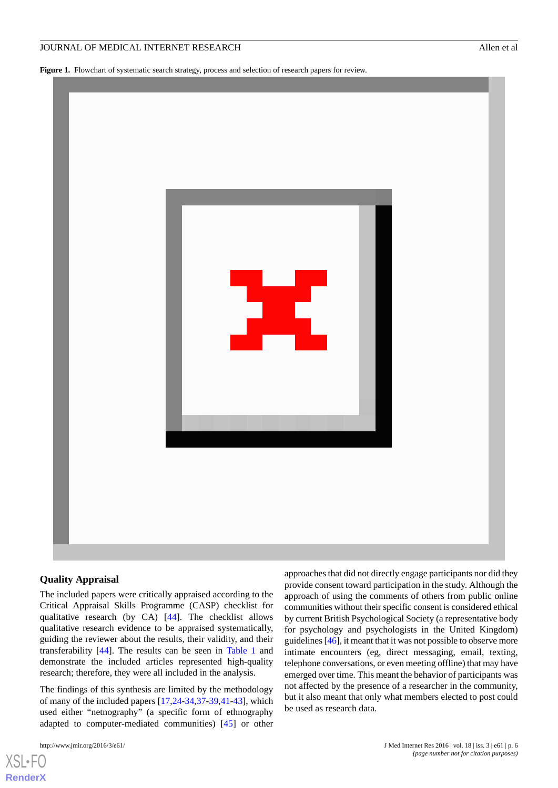<span id="page-5-0"></span>Figure 1. Flowchart of systematic search strategy, process and selection of research papers for review.



#### **Quality Appraisal**

The included papers were critically appraised according to the Critical Appraisal Skills Programme (CASP) checklist for qualitative research (by CA) [[44\]](#page-14-20). The checklist allows qualitative research evidence to be appraised systematically, guiding the reviewer about the results, their validity, and their transferability [\[44](#page-14-20)]. The results can be seen in [Table 1](#page-3-0) and demonstrate the included articles represented high-quality research; therefore, they were all included in the analysis.

The findings of this synthesis are limited by the methodology of many of the included papers [[17,](#page-13-12)[24](#page-14-0)[-34](#page-14-10),[37](#page-14-13)[-39](#page-14-15),[41-](#page-14-17)[43](#page-14-19)], which used either "netnography" (a specific form of ethnography adapted to computer-mediated communities) [[45\]](#page-14-21) or other

[XSL](http://www.w3.org/Style/XSL)•FO **[RenderX](http://www.renderx.com/)**

approaches that did not directly engage participants nor did they provide consent toward participation in the study. Although the approach of using the comments of others from public online communities without their specific consent is considered ethical by current British Psychological Society (a representative body for psychology and psychologists in the United Kingdom) guidelines [\[46](#page-14-22)], it meant that it was not possible to observe more intimate encounters (eg, direct messaging, email, texting, telephone conversations, or even meeting offline) that may have emerged over time. This meant the behavior of participants was not affected by the presence of a researcher in the community, but it also meant that only what members elected to post could be used as research data.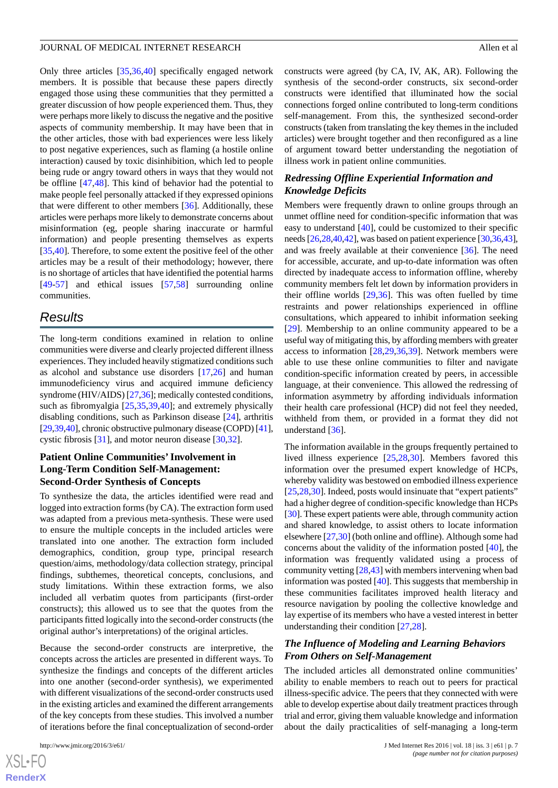Only three articles [\[35](#page-14-11),[36,](#page-14-12)[40](#page-14-16)] specifically engaged network members. It is possible that because these papers directly engaged those using these communities that they permitted a greater discussion of how people experienced them. Thus, they were perhaps more likely to discuss the negative and the positive aspects of community membership. It may have been that in the other articles, those with bad experiences were less likely to post negative experiences, such as flaming (a hostile online interaction) caused by toxic disinhibition, which led to people being rude or angry toward others in ways that they would not be offline [\[47](#page-14-23),[48\]](#page-14-24). This kind of behavior had the potential to make people feel personally attacked if they expressed opinions that were different to other members [[36\]](#page-14-12). Additionally, these articles were perhaps more likely to demonstrate concerns about misinformation (eg, people sharing inaccurate or harmful information) and people presenting themselves as experts [[35](#page-14-11)[,40](#page-14-16)]. Therefore, to some extent the positive feel of the other articles may be a result of their methodology; however, there is no shortage of articles that have identified the potential harms [[49](#page-14-25)[-57](#page-15-0)] and ethical issues [\[57](#page-15-0),[58\]](#page-15-1) surrounding online communities.

## *Results*

The long-term conditions examined in relation to online communities were diverse and clearly projected different illness experiences. They included heavily stigmatized conditions such as alcohol and substance use disorders [[17](#page-13-12)[,26](#page-14-2)] and human immunodeficiency virus and acquired immune deficiency syndrome (HIV/AIDS) [\[27](#page-14-3),[36](#page-14-12)]; medically contested conditions, such as fibromyalgia [\[25](#page-14-1),[35](#page-14-11)[,39](#page-14-15),[40\]](#page-14-16); and extremely physically disabling conditions, such as Parkinson disease [[24\]](#page-14-0), arthritis [[29,](#page-14-5)[39](#page-14-15)[,40](#page-14-16)], chronic obstructive pulmonary disease (COPD) [\[41\]](#page-14-17), cystic fibrosis [[31\]](#page-14-7), and motor neuron disease [\[30](#page-14-6),[32\]](#page-14-8).

## **Patient Online Communities'Involvement in Long-Term Condition Self-Management: Second-Order Synthesis of Concepts**

To synthesize the data, the articles identified were read and logged into extraction forms (by CA). The extraction form used was adapted from a previous meta-synthesis. These were used to ensure the multiple concepts in the included articles were translated into one another. The extraction form included demographics, condition, group type, principal research question/aims, methodology/data collection strategy, principal findings, subthemes, theoretical concepts, conclusions, and study limitations. Within these extraction forms, we also included all verbatim quotes from participants (first-order constructs); this allowed us to see that the quotes from the participants fitted logically into the second-order constructs (the original author's interpretations) of the original articles.

Because the second-order constructs are interpretive, the concepts across the articles are presented in different ways. To synthesize the findings and concepts of the different articles into one another (second-order synthesis), we experimented with different visualizations of the second-order constructs used in the existing articles and examined the different arrangements of the key concepts from these studies. This involved a number of iterations before the final conceptualization of second-order

constructs were agreed (by CA, IV, AK, AR). Following the synthesis of the second-order constructs, six second-order constructs were identified that illuminated how the social connections forged online contributed to long-term conditions self-management. From this, the synthesized second-order constructs (taken from translating the key themes in the included articles) were brought together and then reconfigured as a line of argument toward better understanding the negotiation of illness work in patient online communities.

## *Redressing Offline Experiential Information and Knowledge Deficits*

Members were frequently drawn to online groups through an unmet offline need for condition-specific information that was easy to understand [\[40](#page-14-16)], could be customized to their specific needs [\[26,](#page-14-2)[28](#page-14-4)[,40](#page-14-16),[42](#page-14-18)], was based on patient experience [\[30](#page-14-6)[,36](#page-14-12)[,43](#page-14-19)], and was freely available at their convenience [\[36](#page-14-12)]. The need for accessible, accurate, and up-to-date information was often directed by inadequate access to information offline, whereby community members felt let down by information providers in their offline worlds  $[29,36]$  $[29,36]$  $[29,36]$  $[29,36]$ . This was often fuelled by time restraints and power relationships experienced in offline consultations, which appeared to inhibit information seeking [[29\]](#page-14-5). Membership to an online community appeared to be a useful way of mitigating this, by affording members with greater access to information [[28](#page-14-4)[,29](#page-14-5),[36,](#page-14-12)[39\]](#page-14-15). Network members were able to use these online communities to filter and navigate condition-specific information created by peers, in accessible language, at their convenience. This allowed the redressing of information asymmetry by affording individuals information their health care professional (HCP) did not feel they needed, withheld from them, or provided in a format they did not understand [\[36](#page-14-12)].

The information available in the groups frequently pertained to lived illness experience [\[25](#page-14-1),[28,](#page-14-4)[30\]](#page-14-6). Members favored this information over the presumed expert knowledge of HCPs, whereby validity was bestowed on embodied illness experience [[25,](#page-14-1)[28,](#page-14-4)[30\]](#page-14-6). Indeed, posts would insinuate that "expert patients" had a higher degree of condition-specific knowledge than HCPs [[30\]](#page-14-6). These expert patients were able, through community action and shared knowledge, to assist others to locate information elsewhere [\[27](#page-14-3),[30\]](#page-14-6) (both online and offline). Although some had concerns about the validity of the information posted [\[40](#page-14-16)], the information was frequently validated using a process of community vetting [\[28](#page-14-4),[43](#page-14-19)] with members intervening when bad information was posted [\[40](#page-14-16)]. This suggests that membership in these communities facilitates improved health literacy and resource navigation by pooling the collective knowledge and lay expertise of its members who have a vested interest in better understanding their condition [\[27](#page-14-3),[28\]](#page-14-4).

## *The Influence of Modeling and Learning Behaviors From Others on Self-Management*

The included articles all demonstrated online communities' ability to enable members to reach out to peers for practical illness-specific advice. The peers that they connected with were able to develop expertise about daily treatment practices through trial and error, giving them valuable knowledge and information about the daily practicalities of self-managing a long-term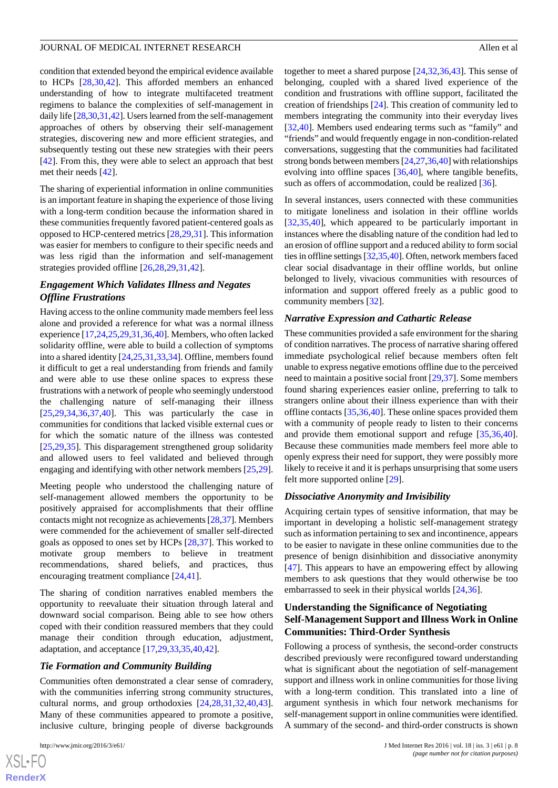condition that extended beyond the empirical evidence available to HCPs [[28](#page-14-4)[,30](#page-14-6),[42\]](#page-14-18). This afforded members an enhanced understanding of how to integrate multifaceted treatment regimens to balance the complexities of self-management in daily life [[28,](#page-14-4)[30,](#page-14-6)[31](#page-14-7)[,42\]](#page-14-18). Users learned from the self-management approaches of others by observing their self-management strategies, discovering new and more efficient strategies, and subsequently testing out these new strategies with their peers [[42\]](#page-14-18). From this, they were able to select an approach that best met their needs [\[42](#page-14-18)].

The sharing of experiential information in online communities is an important feature in shaping the experience of those living with a long-term condition because the information shared in these communities frequently favored patient-centered goals as opposed to HCP-centered metrics [[28,](#page-14-4)[29](#page-14-5),[31\]](#page-14-7). This information was easier for members to configure to their specific needs and was less rigid than the information and self-management strategies provided offline [[26](#page-14-2)[,28](#page-14-4),[29](#page-14-5)[,31](#page-14-7),[42\]](#page-14-18).

#### *Engagement Which Validates Illness and Negates Offline Frustrations*

Having access to the online community made members feel less alone and provided a reference for what was a normal illness experience [[17](#page-13-12),[24](#page-14-0)[,25](#page-14-1),[29,](#page-14-5)[31](#page-14-7)[,36](#page-14-12),[40\]](#page-14-16). Members, who often lacked solidarity offline, were able to build a collection of symptoms into a shared identity [[24,](#page-14-0)[25](#page-14-1),[31,](#page-14-7)[33,](#page-14-9)[34](#page-14-10)]. Offline, members found it difficult to get a real understanding from friends and family and were able to use these online spaces to express these frustrations with a network of people who seemingly understood the challenging nature of self-managing their illness [[25](#page-14-1)[,29](#page-14-5),[34](#page-14-10)[,36](#page-14-12),[37](#page-14-13)[,40](#page-14-16)]. This was particularly the case in communities for conditions that lacked visible external cues or for which the somatic nature of the illness was contested [[25](#page-14-1)[,29](#page-14-5),[35\]](#page-14-11). This disparagement strengthened group solidarity and allowed users to feel validated and believed through engaging and identifying with other network members [\[25](#page-14-1),[29\]](#page-14-5).

Meeting people who understood the challenging nature of self-management allowed members the opportunity to be positively appraised for accomplishments that their offline contacts might not recognize as achievements [[28](#page-14-4),[37\]](#page-14-13). Members were commended for the achievement of smaller self-directed goals as opposed to ones set by HCPs [\[28](#page-14-4),[37\]](#page-14-13). This worked to motivate group members to believe in treatment recommendations, shared beliefs, and practices, thus encouraging treatment compliance [[24,](#page-14-0)[41](#page-14-17)].

The sharing of condition narratives enabled members the opportunity to reevaluate their situation through lateral and downward social comparison. Being able to see how others coped with their condition reassured members that they could manage their condition through education, adjustment, adaptation, and acceptance [[17](#page-13-12)[,29](#page-14-5),[33](#page-14-9)[,35](#page-14-11),[40](#page-14-16)[,42](#page-14-18)].

#### *Tie Formation and Community Building*

Communities often demonstrated a clear sense of comradery, with the communities inferring strong community structures, cultural norms, and group orthodoxies [\[24](#page-14-0),[28](#page-14-4)[,31](#page-14-7),[32](#page-14-8)[,40](#page-14-16),[43\]](#page-14-19). Many of these communities appeared to promote a positive, inclusive culture, bringing people of diverse backgrounds

together to meet a shared purpose [\[24](#page-14-0),[32,](#page-14-8)[36](#page-14-12),[43\]](#page-14-19). This sense of belonging, coupled with a shared lived experience of the condition and frustrations with offline support, facilitated the creation of friendships [[24\]](#page-14-0). This creation of community led to members integrating the community into their everyday lives [[32,](#page-14-8)[40\]](#page-14-16). Members used endearing terms such as "family" and "friends" and would frequently engage in non-condition-related conversations, suggesting that the communities had facilitated strong bonds between members [\[24](#page-14-0),[27,](#page-14-3)[36](#page-14-12)[,40](#page-14-16)] with relationships evolving into offline spaces  $[36,40]$  $[36,40]$  $[36,40]$ , where tangible benefits, such as offers of accommodation, could be realized [[36\]](#page-14-12).

In several instances, users connected with these communities to mitigate loneliness and isolation in their offline worlds [[32,](#page-14-8)[35,](#page-14-11)[40\]](#page-14-16), which appeared to be particularly important in instances where the disabling nature of the condition had led to an erosion of offline support and a reduced ability to form social ties in offline settings [\[32](#page-14-8),[35](#page-14-11),[40\]](#page-14-16). Often, network members faced clear social disadvantage in their offline worlds, but online belonged to lively, vivacious communities with resources of information and support offered freely as a public good to community members [\[32](#page-14-8)].

#### *Narrative Expression and Cathartic Release*

These communities provided a safe environment for the sharing of condition narratives. The process of narrative sharing offered immediate psychological relief because members often felt unable to express negative emotions offline due to the perceived need to maintain a positive social front [\[29](#page-14-5),[37\]](#page-14-13). Some members found sharing experiences easier online, preferring to talk to strangers online about their illness experience than with their offline contacts [\[35](#page-14-11)[,36](#page-14-12),[40\]](#page-14-16). These online spaces provided them with a community of people ready to listen to their concerns and provide them emotional support and refuge [[35](#page-14-11)[,36](#page-14-12),[40\]](#page-14-16). Because these communities made members feel more able to openly express their need for support, they were possibly more likely to receive it and it is perhaps unsurprising that some users felt more supported online [\[29](#page-14-5)].

#### *Dissociative Anonymity and Invisibility*

Acquiring certain types of sensitive information, that may be important in developing a holistic self-management strategy such as information pertaining to sex and incontinence, appears to be easier to navigate in these online communities due to the presence of benign disinhibition and dissociative anonymity [[47\]](#page-14-23). This appears to have an empowering effect by allowing members to ask questions that they would otherwise be too embarrassed to seek in their physical worlds [\[24](#page-14-0)[,36](#page-14-12)].

## **Understanding the Significance of Negotiating Self-Management Support and Illness Work in Online Communities: Third-Order Synthesis**

Following a process of synthesis, the second-order constructs described previously were reconfigured toward understanding what is significant about the negotiation of self-management support and illness work in online communities for those living with a long-term condition. This translated into a line of argument synthesis in which four network mechanisms for self-management support in online communities were identified. A summary of the second- and third-order constructs is shown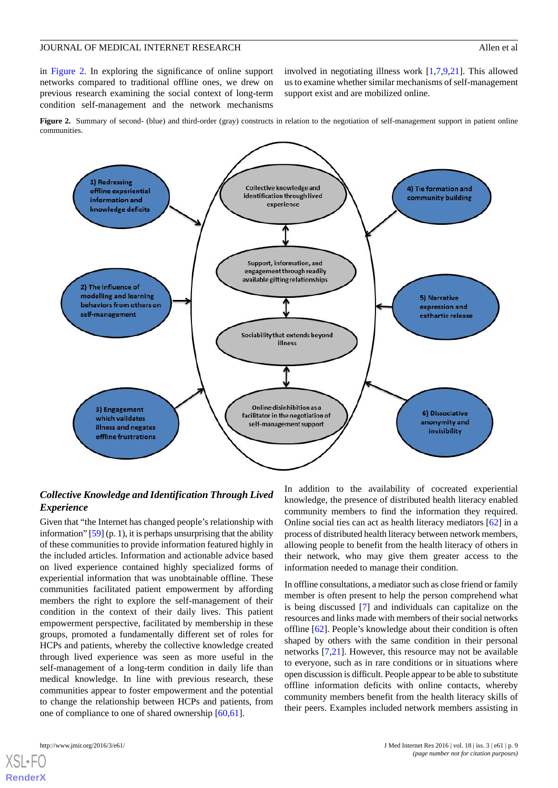in [Figure 2.](#page-8-0) In exploring the significance of online support networks compared to traditional offline ones, we drew on previous research examining the social context of long-term condition self-management and the network mechanisms

involved in negotiating illness work [[1,](#page-12-0)[7](#page-13-3),[9](#page-13-6)[,21](#page-13-16)]. This allowed us to examine whether similar mechanisms of self-management support exist and are mobilized online.

<span id="page-8-0"></span>**Figure 2.** Summary of second- (blue) and third-order (gray) constructs in relation to the negotiation of self-management support in patient online communities.



## *Collective Knowledge and Identification Through Lived Experience*

Given that "the Internet has changed people's relationship with information" [\[59\]](#page-15-2) (p. 1), it is perhaps unsurprising that the ability of these communities to provide information featured highly in the included articles. Information and actionable advice based on lived experience contained highly specialized forms of experiential information that was unobtainable offline. These communities facilitated patient empowerment by affording members the right to explore the self-management of their condition in the context of their daily lives. This patient empowerment perspective, facilitated by membership in these groups, promoted a fundamentally different set of roles for HCPs and patients, whereby the collective knowledge created through lived experience was seen as more useful in the self-management of a long-term condition in daily life than medical knowledge. In line with previous research, these communities appear to foster empowerment and the potential to change the relationship between HCPs and patients, from one of compliance to one of shared ownership [[60](#page-15-3)[,61](#page-15-4)].

In addition to the availability of cocreated experiential knowledge, the presence of distributed health literacy enabled community members to find the information they required. Online social ties can act as health literacy mediators [\[62](#page-15-5)] in a process of distributed health literacy between network members, allowing people to benefit from the health literacy of others in their network, who may give them greater access to the information needed to manage their condition.

In offline consultations, a mediator such as close friend or family member is often present to help the person comprehend what is being discussed [[7\]](#page-13-3) and individuals can capitalize on the resources and links made with members of their social networks offline [[62\]](#page-15-5). People's knowledge about their condition is often shaped by others with the same condition in their personal networks [[7,](#page-13-3)[21](#page-13-16)]. However, this resource may not be available to everyone, such as in rare conditions or in situations where open discussion is difficult. People appear to be able to substitute offline information deficits with online contacts, whereby community members benefit from the health literacy skills of their peers. Examples included network members assisting in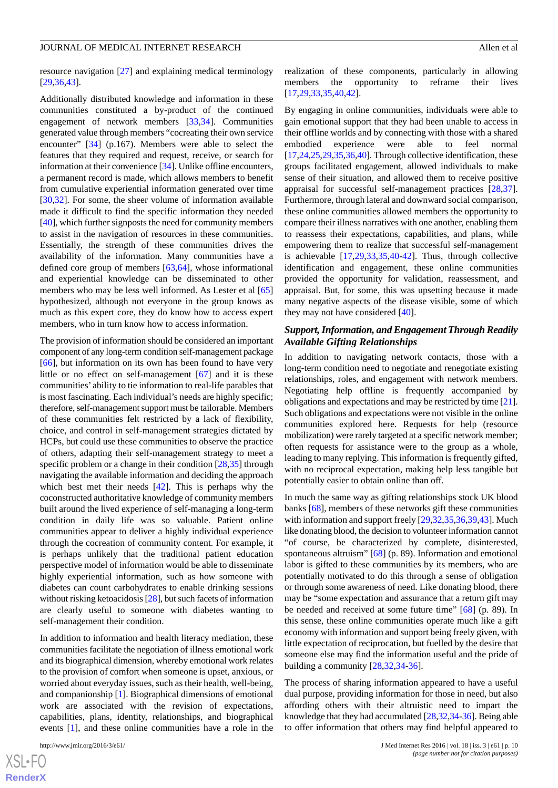resource navigation [\[27](#page-14-3)] and explaining medical terminology [[29](#page-14-5)[,36](#page-14-12),[43\]](#page-14-19).

Additionally distributed knowledge and information in these communities constituted a by-product of the continued engagement of network members [[33](#page-14-9)[,34](#page-14-10)]. Communities generated value through members "cocreating their own service encounter" [[34\]](#page-14-10) (p.167). Members were able to select the features that they required and request, receive, or search for information at their convenience [\[34\]](#page-14-10). Unlike offline encounters, a permanent record is made, which allows members to benefit from cumulative experiential information generated over time [[30](#page-14-6)[,32](#page-14-8)]. For some, the sheer volume of information available made it difficult to find the specific information they needed [[40\]](#page-14-16), which further signposts the need for community members to assist in the navigation of resources in these communities. Essentially, the strength of these communities drives the availability of the information. Many communities have a defined core group of members [[63,](#page-15-6)[64\]](#page-15-7), whose informational and experiential knowledge can be disseminated to other members who may be less well informed. As Lester et al [\[65](#page-15-8)] hypothesized, although not everyone in the group knows as much as this expert core, they do know how to access expert members, who in turn know how to access information.

The provision of information should be considered an important component of any long-term condition self-management package [[66\]](#page-15-9), but information on its own has been found to have very little or no effect on self-management [\[67](#page-15-10)] and it is these communities' ability to tie information to real-life parables that is most fascinating. Each individual's needs are highly specific; therefore, self-management support must be tailorable. Members of these communities felt restricted by a lack of flexibility, choice, and control in self-management strategies dictated by HCPs, but could use these communities to observe the practice of others, adapting their self-management strategy to meet a specific problem or a change in their condition [\[28](#page-14-4)[,35](#page-14-11)] through navigating the available information and deciding the approach which best met their needs [[42\]](#page-14-18). This is perhaps why the coconstructed authoritative knowledge of community members built around the lived experience of self-managing a long-term condition in daily life was so valuable. Patient online communities appear to deliver a highly individual experience through the cocreation of community content. For example, it is perhaps unlikely that the traditional patient education perspective model of information would be able to disseminate highly experiential information, such as how someone with diabetes can count carbohydrates to enable drinking sessions without risking ketoacidosis [\[28\]](#page-14-4), but such facets of information are clearly useful to someone with diabetes wanting to self-management their condition.

In addition to information and health literacy mediation, these communities facilitate the negotiation of illness emotional work and its biographical dimension, whereby emotional work relates to the provision of comfort when someone is upset, anxious, or worried about everyday issues, such as their health, well-being, and companionship [\[1](#page-12-0)]. Biographical dimensions of emotional work are associated with the revision of expectations, capabilities, plans, identity, relationships, and biographical events [[1\]](#page-12-0), and these online communities have a role in the

realization of these components, particularly in allowing members the opportunity to reframe their lives [[17,](#page-13-12)[29,](#page-14-5)[33](#page-14-9)[,35](#page-14-11),[40,](#page-14-16)[42\]](#page-14-18).

By engaging in online communities, individuals were able to gain emotional support that they had been unable to access in their offline worlds and by connecting with those with a shared embodied experience were able to feel normal [[17](#page-13-12)[,24](#page-14-0),[25,](#page-14-1)[29](#page-14-5)[,35](#page-14-11),[36](#page-14-12)[,40](#page-14-16)]. Through collective identification, these groups facilitated engagement, allowed individuals to make sense of their situation, and allowed them to receive positive appraisal for successful self-management practices [\[28](#page-14-4),[37\]](#page-14-13). Furthermore, through lateral and downward social comparison, these online communities allowed members the opportunity to compare their illness narratives with one another, enabling them to reassess their expectations, capabilities, and plans, while empowering them to realize that successful self-management is achievable [\[17](#page-13-12),[29,](#page-14-5)[33](#page-14-9),[35,](#page-14-11)[40](#page-14-16)-[42\]](#page-14-18). Thus, through collective identification and engagement, these online communities provided the opportunity for validation, reassessment, and appraisal. But, for some, this was upsetting because it made many negative aspects of the disease visible, some of which they may not have considered [\[40](#page-14-16)].

## *Support, Information, and Engagement Through Readily Available Gifting Relationships*

In addition to navigating network contacts, those with a long-term condition need to negotiate and renegotiate existing relationships, roles, and engagement with network members. Negotiating help offline is frequently accompanied by obligations and expectations and may be restricted by time [\[21](#page-13-16)]. Such obligations and expectations were not visible in the online communities explored here. Requests for help (resource mobilization) were rarely targeted at a specific network member; often requests for assistance were to the group as a whole, leading to many replying. This information is frequently gifted, with no reciprocal expectation, making help less tangible but potentially easier to obtain online than off.

In much the same way as gifting relationships stock UK blood banks [[68\]](#page-15-11), members of these networks gift these communities with information and support freely [\[29](#page-14-5),[32,](#page-14-8)[35](#page-14-11),[36,](#page-14-12)[39](#page-14-15),[43\]](#page-14-19). Much like donating blood, the decision to volunteer information cannot "of course, be characterized by complete, disinterested, spontaneous altruism" [\[68](#page-15-11)] (p. 89). Information and emotional labor is gifted to these communities by its members, who are potentially motivated to do this through a sense of obligation or through some awareness of need. Like donating blood, there may be "some expectation and assurance that a return gift may be needed and received at some future time" [\[68](#page-15-11)] (p. 89). In this sense, these online communities operate much like a gift economy with information and support being freely given, with little expectation of reciprocation, but fuelled by the desire that someone else may find the information useful and the pride of building a community [[28,](#page-14-4)[32](#page-14-8),[34-](#page-14-10)[36\]](#page-14-12).

The process of sharing information appeared to have a useful dual purpose, providing information for those in need, but also affording others with their altruistic need to impart the knowledge that they had accumulated [\[28](#page-14-4),[32,](#page-14-8)[34](#page-14-10)[-36](#page-14-12)]. Being able to offer information that others may find helpful appeared to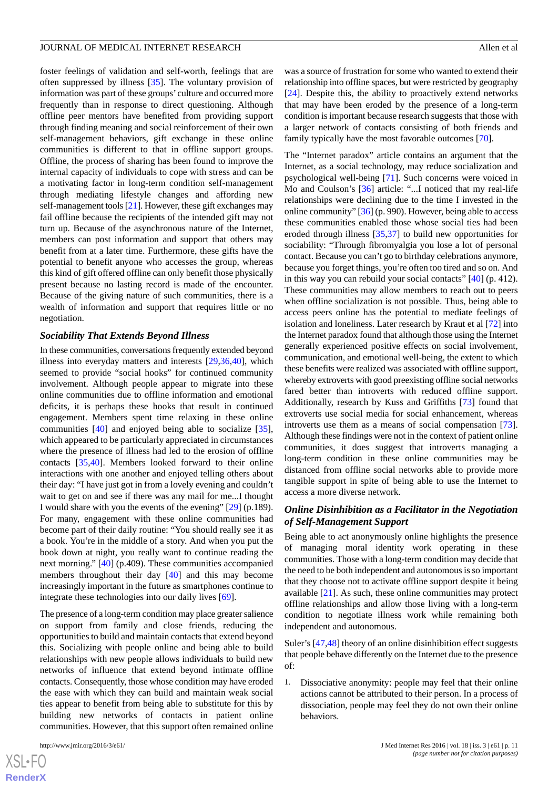foster feelings of validation and self-worth, feelings that are often suppressed by illness [\[35](#page-14-11)]. The voluntary provision of information was part of these groups' culture and occurred more frequently than in response to direct questioning. Although offline peer mentors have benefited from providing support through finding meaning and social reinforcement of their own self-management behaviors, gift exchange in these online communities is different to that in offline support groups. Offline, the process of sharing has been found to improve the internal capacity of individuals to cope with stress and can be a motivating factor in long-term condition self-management through mediating lifestyle changes and affording new self-management tools [[21\]](#page-13-16). However, these gift exchanges may fail offline because the recipients of the intended gift may not turn up. Because of the asynchronous nature of the Internet, members can post information and support that others may benefit from at a later time. Furthermore, these gifts have the potential to benefit anyone who accesses the group, whereas this kind of gift offered offline can only benefit those physically present because no lasting record is made of the encounter. Because of the giving nature of such communities, there is a wealth of information and support that requires little or no negotiation.

#### *Sociability That Extends Beyond Illness*

In these communities, conversations frequently extended beyond illness into everyday matters and interests [[29,](#page-14-5)[36](#page-14-12),[40\]](#page-14-16), which seemed to provide "social hooks" for continued community involvement. Although people appear to migrate into these online communities due to offline information and emotional deficits, it is perhaps these hooks that result in continued engagement. Members spent time relaxing in these online communities [[40\]](#page-14-16) and enjoyed being able to socialize [[35\]](#page-14-11), which appeared to be particularly appreciated in circumstances where the presence of illness had led to the erosion of offline contacts [[35](#page-14-11)[,40](#page-14-16)]. Members looked forward to their online interactions with one another and enjoyed telling others about their day: "I have just got in from a lovely evening and couldn't wait to get on and see if there was any mail for me...I thought I would share with you the events of the evening" [\[29](#page-14-5)] (p.189). For many, engagement with these online communities had become part of their daily routine: "You should really see it as a book. You're in the middle of a story. And when you put the book down at night, you really want to continue reading the next morning." [\[40](#page-14-16)] (p.409). These communities accompanied members throughout their day [\[40](#page-14-16)] and this may become increasingly important in the future as smartphones continue to integrate these technologies into our daily lives [[69\]](#page-15-12).

The presence of a long-term condition may place greater salience on support from family and close friends, reducing the opportunities to build and maintain contacts that extend beyond this. Socializing with people online and being able to build relationships with new people allows individuals to build new networks of influence that extend beyond intimate offline contacts. Consequently, those whose condition may have eroded the ease with which they can build and maintain weak social ties appear to benefit from being able to substitute for this by building new networks of contacts in patient online communities. However, that this support often remained online

[XSL](http://www.w3.org/Style/XSL)•FO **[RenderX](http://www.renderx.com/)** was a source of frustration for some who wanted to extend their relationship into offline spaces, but were restricted by geography [[24\]](#page-14-0). Despite this, the ability to proactively extend networks that may have been eroded by the presence of a long-term condition is important because research suggests that those with a larger network of contacts consisting of both friends and family typically have the most favorable outcomes [\[70](#page-15-13)].

The "Internet paradox" article contains an argument that the Internet, as a social technology, may reduce socialization and psychological well-being [[71\]](#page-15-14). Such concerns were voiced in Mo and Coulson's [\[36](#page-14-12)] article: "...I noticed that my real-life relationships were declining due to the time I invested in the online community" [\[36](#page-14-12)] (p. 990). However, being able to access these communities enabled those whose social ties had been eroded through illness [\[35](#page-14-11),[37\]](#page-14-13) to build new opportunities for sociability: "Through fibromyalgia you lose a lot of personal contact. Because you can't go to birthday celebrations anymore, because you forget things, you're often too tired and so on. And in this way you can rebuild your social contacts" [\[40](#page-14-16)] (p. 412). These communities may allow members to reach out to peers when offline socialization is not possible. Thus, being able to access peers online has the potential to mediate feelings of isolation and loneliness. Later research by Kraut et al [[72\]](#page-15-15) into the Internet paradox found that although those using the Internet generally experienced positive effects on social involvement, communication, and emotional well-being, the extent to which these benefits were realized was associated with offline support, whereby extroverts with good preexisting offline social networks fared better than introverts with reduced offline support. Additionally, research by Kuss and Griffiths [[73\]](#page-15-16) found that extroverts use social media for social enhancement, whereas introverts use them as a means of social compensation [[73\]](#page-15-16). Although these findings were not in the context of patient online communities, it does suggest that introverts managing a long-term condition in these online communities may be distanced from offline social networks able to provide more tangible support in spite of being able to use the Internet to access a more diverse network.

## *Online Disinhibition as a Facilitator in the Negotiation of Self-Management Support*

Being able to act anonymously online highlights the presence of managing moral identity work operating in these communities. Those with a long-term condition may decide that the need to be both independent and autonomous is so important that they choose not to activate offline support despite it being available [\[21](#page-13-16)]. As such, these online communities may protect offline relationships and allow those living with a long-term condition to negotiate illness work while remaining both independent and autonomous.

Suler's [[47](#page-14-23)[,48](#page-14-24)] theory of an online disinhibition effect suggests that people behave differently on the Internet due to the presence of:

1. Dissociative anonymity: people may feel that their online actions cannot be attributed to their person. In a process of dissociation, people may feel they do not own their online behaviors.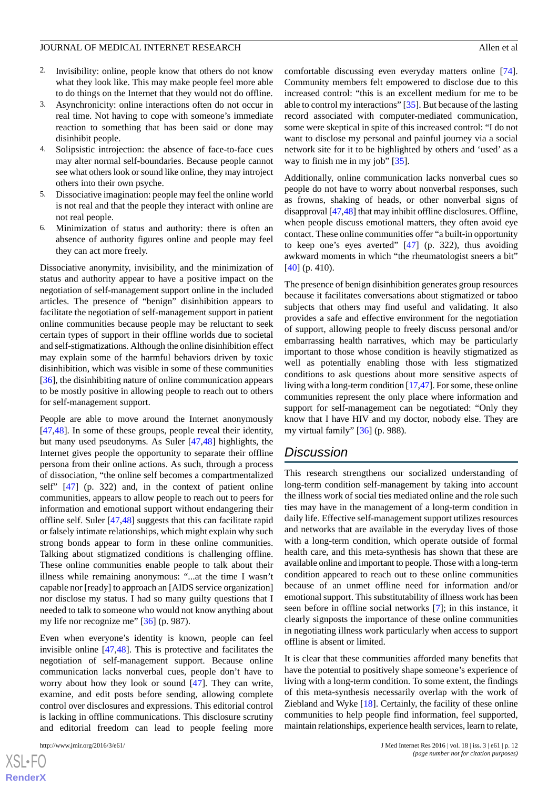- 2. Invisibility: online, people know that others do not know what they look like. This may make people feel more able to do things on the Internet that they would not do offline.
- 3. Asynchronicity: online interactions often do not occur in real time. Not having to cope with someone's immediate reaction to something that has been said or done may disinhibit people.
- 4. Solipsistic introjection: the absence of face-to-face cues may alter normal self-boundaries. Because people cannot see what others look or sound like online, they may introject others into their own psyche.
- 5. Dissociative imagination: people may feel the online world is not real and that the people they interact with online are not real people.
- Minimization of status and authority: there is often an absence of authority figures online and people may feel they can act more freely.

Dissociative anonymity, invisibility, and the minimization of status and authority appear to have a positive impact on the negotiation of self-management support online in the included articles. The presence of "benign" disinhibition appears to facilitate the negotiation of self-management support in patient online communities because people may be reluctant to seek certain types of support in their offline worlds due to societal and self-stigmatizations. Although the online disinhibition effect may explain some of the harmful behaviors driven by toxic disinhibition, which was visible in some of these communities [[36\]](#page-14-12), the disinhibiting nature of online communication appears to be mostly positive in allowing people to reach out to others for self-management support.

People are able to move around the Internet anonymously [[47](#page-14-23)[,48](#page-14-24)]. In some of these groups, people reveal their identity, but many used pseudonyms. As Suler [\[47](#page-14-23),[48\]](#page-14-24) highlights, the Internet gives people the opportunity to separate their offline persona from their online actions. As such, through a process of dissociation, "the online self becomes a compartmentalized self" [\[47](#page-14-23)] (p. 322) and, in the context of patient online communities, appears to allow people to reach out to peers for information and emotional support without endangering their offline self. Suler [[47](#page-14-23)[,48](#page-14-24)] suggests that this can facilitate rapid or falsely intimate relationships, which might explain why such strong bonds appear to form in these online communities. Talking about stigmatized conditions is challenging offline. These online communities enable people to talk about their illness while remaining anonymous: "...at the time I wasn't capable nor [ready] to approach an [AIDS service organization] nor disclose my status. I had so many guilty questions that I needed to talk to someone who would not know anything about my life nor recognize me" [\[36](#page-14-12)] (p. 987).

Even when everyone's identity is known, people can feel invisible online [\[47](#page-14-23),[48\]](#page-14-24). This is protective and facilitates the negotiation of self-management support. Because online communication lacks nonverbal cues, people don't have to worry about how they look or sound [[47\]](#page-14-23). They can write, examine, and edit posts before sending, allowing complete control over disclosures and expressions. This editorial control is lacking in offline communications. This disclosure scrutiny and editorial freedom can lead to people feeling more

[XSL](http://www.w3.org/Style/XSL)•FO **[RenderX](http://www.renderx.com/)** comfortable discussing even everyday matters online [[74\]](#page-15-17). Community members felt empowered to disclose due to this increased control: "this is an excellent medium for me to be able to control my interactions"  $[35]$  $[35]$ . But because of the lasting record associated with computer-mediated communication, some were skeptical in spite of this increased control: "I do not want to disclose my personal and painful journey via a social network site for it to be highlighted by others and 'used' as a way to finish me in my job" [\[35](#page-14-11)].

Additionally, online communication lacks nonverbal cues so people do not have to worry about nonverbal responses, such as frowns, shaking of heads, or other nonverbal signs of disapproval [[47](#page-14-23),[48\]](#page-14-24) that may inhibit offline disclosures. Offline, when people discuss emotional matters, they often avoid eye contact. These online communities offer "a built-in opportunity to keep one's eyes averted" [[47\]](#page-14-23) (p. 322), thus avoiding awkward moments in which "the rheumatologist sneers a bit" [[40\]](#page-14-16) (p. 410).

The presence of benign disinhibition generates group resources because it facilitates conversations about stigmatized or taboo subjects that others may find useful and validating. It also provides a safe and effective environment for the negotiation of support, allowing people to freely discuss personal and/or embarrassing health narratives, which may be particularly important to those whose condition is heavily stigmatized as well as potentially enabling those with less stigmatized conditions to ask questions about more sensitive aspects of living with a long-term condition [\[17](#page-13-12)[,47](#page-14-23)]. For some, these online communities represent the only place where information and support for self-management can be negotiated: "Only they know that I have HIV and my doctor, nobody else. They are my virtual family" [[36\]](#page-14-12) (p. 988).

## *Discussion*

This research strengthens our socialized understanding of long-term condition self-management by taking into account the illness work of social ties mediated online and the role such ties may have in the management of a long-term condition in daily life. Effective self-management support utilizes resources and networks that are available in the everyday lives of those with a long-term condition, which operate outside of formal health care, and this meta-synthesis has shown that these are available online and important to people. Those with a long-term condition appeared to reach out to these online communities because of an unmet offline need for information and/or emotional support. This substitutability of illness work has been seen before in offline social networks [[7\]](#page-13-3); in this instance, it clearly signposts the importance of these online communities in negotiating illness work particularly when access to support offline is absent or limited.

It is clear that these communities afforded many benefits that have the potential to positively shape someone's experience of living with a long-term condition. To some extent, the findings of this meta-synthesis necessarily overlap with the work of Ziebland and Wyke [[18\]](#page-13-13). Certainly, the facility of these online communities to help people find information, feel supported, maintain relationships, experience health services, learn to relate,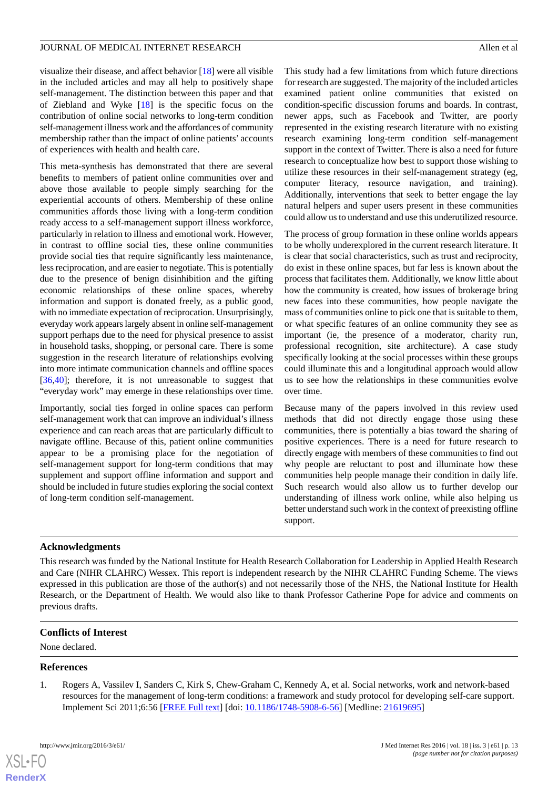visualize their disease, and affect behavior [[18\]](#page-13-13) were all visible in the included articles and may all help to positively shape self-management. The distinction between this paper and that of Ziebland and Wyke [\[18](#page-13-13)] is the specific focus on the contribution of online social networks to long-term condition self-management illness work and the affordances of community membership rather than the impact of online patients' accounts of experiences with health and health care.

This meta-synthesis has demonstrated that there are several benefits to members of patient online communities over and above those available to people simply searching for the experiential accounts of others. Membership of these online communities affords those living with a long-term condition ready access to a self-management support illness workforce, particularly in relation to illness and emotional work. However, in contrast to offline social ties, these online communities provide social ties that require significantly less maintenance, less reciprocation, and are easier to negotiate. This is potentially due to the presence of benign disinhibition and the gifting economic relationships of these online spaces, whereby information and support is donated freely, as a public good, with no immediate expectation of reciprocation. Unsurprisingly, everyday work appears largely absent in online self-management support perhaps due to the need for physical presence to assist in household tasks, shopping, or personal care. There is some suggestion in the research literature of relationships evolving into more intimate communication channels and offline spaces [[36](#page-14-12)[,40](#page-14-16)]; therefore, it is not unreasonable to suggest that "everyday work" may emerge in these relationships over time.

Importantly, social ties forged in online spaces can perform self-management work that can improve an individual's illness experience and can reach areas that are particularly difficult to navigate offline. Because of this, patient online communities appear to be a promising place for the negotiation of self-management support for long-term conditions that may supplement and support offline information and support and should be included in future studies exploring the social context of long-term condition self-management.

This study had a few limitations from which future directions for research are suggested. The majority of the included articles examined patient online communities that existed on condition-specific discussion forums and boards. In contrast, newer apps, such as Facebook and Twitter, are poorly represented in the existing research literature with no existing research examining long-term condition self-management support in the context of Twitter. There is also a need for future research to conceptualize how best to support those wishing to utilize these resources in their self-management strategy (eg, computer literacy, resource navigation, and training). Additionally, interventions that seek to better engage the lay natural helpers and super users present in these communities could allow us to understand and use this underutilized resource.

The process of group formation in these online worlds appears to be wholly underexplored in the current research literature. It is clear that social characteristics, such as trust and reciprocity, do exist in these online spaces, but far less is known about the process that facilitates them. Additionally, we know little about how the community is created, how issues of brokerage bring new faces into these communities, how people navigate the mass of communities online to pick one that is suitable to them, or what specific features of an online community they see as important (ie, the presence of a moderator, charity run, professional recognition, site architecture). A case study specifically looking at the social processes within these groups could illuminate this and a longitudinal approach would allow us to see how the relationships in these communities evolve over time.

Because many of the papers involved in this review used methods that did not directly engage those using these communities, there is potentially a bias toward the sharing of positive experiences. There is a need for future research to directly engage with members of these communities to find out why people are reluctant to post and illuminate how these communities help people manage their condition in daily life. Such research would also allow us to further develop our understanding of illness work online, while also helping us better understand such work in the context of preexisting offline support.

## **Acknowledgments**

This research was funded by the National Institute for Health Research Collaboration for Leadership in Applied Health Research and Care (NIHR CLAHRC) Wessex. This report is independent research by the NIHR CLAHRC Funding Scheme. The views expressed in this publication are those of the author(s) and not necessarily those of the NHS, the National Institute for Health Research, or the Department of Health. We would also like to thank Professor Catherine Pope for advice and comments on previous drafts.

## <span id="page-12-0"></span>**Conflicts of Interest**

None declared.

#### **References**

[XSL](http://www.w3.org/Style/XSL)•FO **[RenderX](http://www.renderx.com/)**

1. Rogers A, Vassilev I, Sanders C, Kirk S, Chew-Graham C, Kennedy A, et al. Social networks, work and network-based resources for the management of long-term conditions: a framework and study protocol for developing self-care support. Implement Sci 2011;6:56 [\[FREE Full text](http://www.implementationscience.com/content/6//56)] [doi: [10.1186/1748-5908-6-56\]](http://dx.doi.org/10.1186/1748-5908-6-56) [Medline: [21619695\]](http://www.ncbi.nlm.nih.gov/entrez/query.fcgi?cmd=Retrieve&db=PubMed&list_uids=21619695&dopt=Abstract)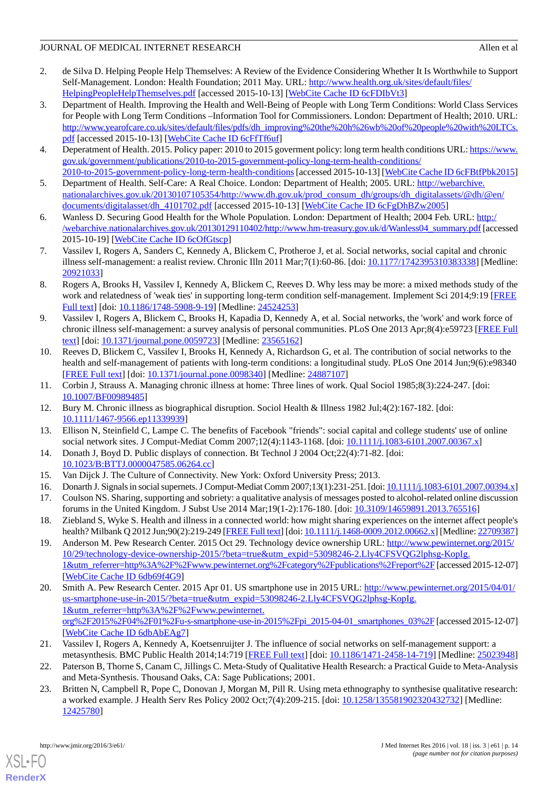- <span id="page-13-0"></span>2. de Silva D. Helping People Help Themselves: A Review of the Evidence Considering Whether It Is Worthwhile to Support Self-Management. London: Health Foundation; 2011 May. URL: [http://www.health.org.uk/sites/default/files/](http://www.health.org.uk/sites/default/files/HelpingPeopleHelpThemselves.pdf) [HelpingPeopleHelpThemselves.pdf](http://www.health.org.uk/sites/default/files/HelpingPeopleHelpThemselves.pdf) [accessed 2015-10-13] [[WebCite Cache ID 6cFDIbVt3](http://www.webcitation.org/

                                6cFDIbVt3)]
- <span id="page-13-1"></span>3. Department of Health. Improving the Health and Well-Being of People with Long Term Conditions: World Class Services for People with Long Term Conditions –Information Tool for Commissioners. London: Department of Health; 2010. URL: [http://www.yearofcare.co.uk/sites/default/files/pdfs/dh\\_improving%20the%20h%26wb%20of%20people%20with%20LTCs.](http://www.yearofcare.co.uk/sites/default/files/pdfs/dh_improving%20the%20h%26wb%20of%20people%20with%20LTCs.pdf) [pdf](http://www.yearofcare.co.uk/sites/default/files/pdfs/dh_improving%20the%20h%26wb%20of%20people%20with%20LTCs.pdf) [accessed 2015-10-13] [[WebCite Cache ID 6cFfTf6uf\]](http://www.webcitation.org/

                                6cFfTf6uf)
- 4. Deperatment of Health. 2015. Policy paper: 2010 to 2015 goverment policy: long term health conditions URL: [https://www.](https://www.gov.uk/government/publications/2010-to-2015-government-policy-long-term-health-conditions/2010-to-2015-government-policy-long-term-health-conditions) [gov.uk/government/publications/2010-to-2015-government-policy-long-term-health-conditions/](https://www.gov.uk/government/publications/2010-to-2015-government-policy-long-term-health-conditions/2010-to-2015-government-policy-long-term-health-conditions) [2010-to-2015-government-policy-long-term-health-conditions](https://www.gov.uk/government/publications/2010-to-2015-government-policy-long-term-health-conditions/2010-to-2015-government-policy-long-term-health-conditions)[accessed 2015-10-13] [[WebCite Cache ID 6cFBtfPbk2015\]](http://www.webcitation.org/

                                6cFBtfPbk2015)
- <span id="page-13-4"></span><span id="page-13-2"></span>5. Department of Health. Self-Care: A Real Choice. London: Department of Health; 2005. URL: [http://webarchive.](http://webarchive.nationalarchives.gov.uk/20130107105354/http://www.dh.gov.uk/prod_consum_dh/groups/dh_digitalassets/@dh/@en/documents/digitalasset/dh_4101702.pdf) [nationalarchives.gov.uk/20130107105354/http://www.dh.gov.uk/prod\\_consum\\_dh/groups/dh\\_digitalassets/@dh/@en/](http://webarchive.nationalarchives.gov.uk/20130107105354/http://www.dh.gov.uk/prod_consum_dh/groups/dh_digitalassets/@dh/@en/documents/digitalasset/dh_4101702.pdf) [documents/digitalasset/dh\\_4101702.pdf](http://webarchive.nationalarchives.gov.uk/20130107105354/http://www.dh.gov.uk/prod_consum_dh/groups/dh_digitalassets/@dh/@en/documents/digitalasset/dh_4101702.pdf) [accessed 2015-10-13] [\[WebCite Cache ID 6cFgDhBZw2005](http://www.webcitation.org/

                                6cFgDhBZw2005)]
- <span id="page-13-3"></span>6. Wanless D. Securing Good Health for the Whole Population. London: Department of Health; 2004 Feb. URL: [http:/](http://webarchive.nationalarchives.gov.uk/20130129110402/http://www.hm-treasury.gov.uk/d/Wanless04_summary.pdf) [/webarchive.nationalarchives.gov.uk/20130129110402/http://www.hm-treasury.gov.uk/d/Wanless04\\_summary.pdf](http://webarchive.nationalarchives.gov.uk/20130129110402/http://www.hm-treasury.gov.uk/d/Wanless04_summary.pdf) [accessed 2015-10-19] [\[WebCite Cache ID 6cOfGtscp](http://www.webcitation.org/

                                6cOfGtscp)]
- <span id="page-13-5"></span>7. Vassilev I, Rogers A, Sanders C, Kennedy A, Blickem C, Protheroe J, et al. Social networks, social capital and chronic illness self-management: a realist review. Chronic Illn 2011 Mar;7(1):60-86. [doi: [10.1177/1742395310383338\]](http://dx.doi.org/10.1177/1742395310383338) [Medline: [20921033](http://www.ncbi.nlm.nih.gov/entrez/query.fcgi?cmd=Retrieve&db=PubMed&list_uids=20921033&dopt=Abstract)]
- <span id="page-13-6"></span>8. Rogers A, Brooks H, Vassilev I, Kennedy A, Blickem C, Reeves D. Why less may be more: a mixed methods study of the work and relatedness of 'weak ties' in supporting long-term condition self-management. Implement Sci 2014;9:19 [[FREE](http://www.implementationscience.com/content/9//19) [Full text\]](http://www.implementationscience.com/content/9//19) [doi: [10.1186/1748-5908-9-19\]](http://dx.doi.org/10.1186/1748-5908-9-19) [Medline: [24524253](http://www.ncbi.nlm.nih.gov/entrez/query.fcgi?cmd=Retrieve&db=PubMed&list_uids=24524253&dopt=Abstract)]
- <span id="page-13-7"></span>9. Vassilev I, Rogers A, Blickem C, Brooks H, Kapadia D, Kennedy A, et al. Social networks, the 'work' and work force of chronic illness self-management: a survey analysis of personal communities. PLoS One 2013 Apr;8(4):e59723 [\[FREE Full](http://dx.plos.org/10.1371/journal.pone.0059723) [text](http://dx.plos.org/10.1371/journal.pone.0059723)] [doi: [10.1371/journal.pone.0059723\]](http://dx.doi.org/10.1371/journal.pone.0059723) [Medline: [23565162](http://www.ncbi.nlm.nih.gov/entrez/query.fcgi?cmd=Retrieve&db=PubMed&list_uids=23565162&dopt=Abstract)]
- <span id="page-13-9"></span><span id="page-13-8"></span>10. Reeves D, Blickem C, Vassilev I, Brooks H, Kennedy A, Richardson G, et al. The contribution of social networks to the health and self-management of patients with long-term conditions: a longitudinal study. PLoS One 2014 Jun;9(6):e98340 [[FREE Full text](http://dx.plos.org/10.1371/journal.pone.0098340)] [doi: [10.1371/journal.pone.0098340](http://dx.doi.org/10.1371/journal.pone.0098340)] [Medline: [24887107](http://www.ncbi.nlm.nih.gov/entrez/query.fcgi?cmd=Retrieve&db=PubMed&list_uids=24887107&dopt=Abstract)]
- <span id="page-13-10"></span>11. Corbin J, Strauss A. Managing chronic illness at home: Three lines of work. Qual Sociol 1985;8(3):224-247. [doi: [10.1007/BF00989485](http://dx.doi.org/10.1007/BF00989485)]
- 12. Bury M. Chronic illness as biographical disruption. Sociol Health & Illness 1982 Jul;4(2):167-182. [doi: [10.1111/1467-9566.ep11339939](http://dx.doi.org/10.1111/1467-9566.ep11339939)]
- <span id="page-13-11"></span>13. Ellison N, Steinfield C, Lampe C. The benefits of Facebook "friends": social capital and college students' use of online social network sites. J Comput-Mediat Comm 2007;12(4):1143-1168. [doi: [10.1111/j.1083-6101.2007.00367.x](http://dx.doi.org/10.1111/j.1083-6101.2007.00367.x)]
- <span id="page-13-12"></span>14. Donath J, Boyd D. Public displays of connection. Bt Technol J 2004 Oct;22(4):71-82. [doi: [10.1023/B:BTTJ.0000047585.06264.cc](http://dx.doi.org/10.1023/B:BTTJ.0000047585.06264.cc)]
- <span id="page-13-13"></span>15. Van Dijck J. The Culture of Connectivity. New York: Oxford University Press; 2013.
- <span id="page-13-14"></span>16. Donarth J. Signals in social supernets. J Comput-Mediat Comm 2007;13(1):231-251. [doi: [10.1111/j.1083-6101.2007.00394.x\]](http://dx.doi.org/10.1111/j.1083-6101.2007.00394.x) 17. Coulson NS. Sharing, supporting and sobriety: a qualitative analysis of messages posted to alcohol-related online discussion
- forums in the United Kingdom. J Subst Use 2014 Mar;19(1-2):176-180. [doi: [10.3109/14659891.2013.765516\]](http://dx.doi.org/10.3109/14659891.2013.765516) 18. Ziebland S, Wyke S. Health and illness in a connected world: how might sharing experiences on the internet affect people's health? Milbank Q 2012 Jun;90(2):219-249 [\[FREE Full text\]](http://europepmc.org/abstract/MED/22709387) [doi: [10.1111/j.1468-0009.2012.00662.x](http://dx.doi.org/10.1111/j.1468-0009.2012.00662.x)] [Medline: [22709387\]](http://www.ncbi.nlm.nih.gov/entrez/query.fcgi?cmd=Retrieve&db=PubMed&list_uids=22709387&dopt=Abstract)
- <span id="page-13-15"></span>19. Anderson M. Pew Research Center. 2015 Oct 29. Technology device ownership URL: [http://www.pewinternet.org/2015/](http://www.pewinternet.org/2015/10/29/technology-device-ownership-2015/?beta=true&utm_expid=53098246-2.Lly4CFSVQG2lphsg-KopIg.1&utm_referrer=http%3A%2F%2Fwww.pewinternet.org%2Fcategory%2Fpublications%2Freport%2F) [10/29/technology-device-ownership-2015/?beta=true&utm\\_expid=53098246-2.Lly4CFSVQG2lphsg-KopIg.](http://www.pewinternet.org/2015/10/29/technology-device-ownership-2015/?beta=true&utm_expid=53098246-2.Lly4CFSVQG2lphsg-KopIg.1&utm_referrer=http%3A%2F%2Fwww.pewinternet.org%2Fcategory%2Fpublications%2Freport%2F) [1&utm\\_referrer=http%3A%2F%2Fwww.pewinternet.org%2Fcategory%2Fpublications%2Freport%2F](http://www.pewinternet.org/2015/10/29/technology-device-ownership-2015/?beta=true&utm_expid=53098246-2.Lly4CFSVQG2lphsg-KopIg.1&utm_referrer=http%3A%2F%2Fwww.pewinternet.org%2Fcategory%2Fpublications%2Freport%2F)[accessed 2015-12-07] [[WebCite Cache ID 6db69f4G9](http://www.webcitation.org/

                                6db69f4G9)]
- <span id="page-13-17"></span><span id="page-13-16"></span>20. Smith A. Pew Research Center. 2015 Apr 01. US smartphone use in 2015 URL: [http://www.pewinternet.org/2015/04/01/](http://www.pewinternet.org/2015/04/01/us-smartphone-use-in-2015/?beta=true&utm_expid=53098246-2.Lly4CFSVQG2lphsg-KopIg.1&utm_referrer=http%3A%2F%2Fwww.pewinternet.org%2F2015%2F04%2F01%2Fu-s-smartphone-use-in-2015%2Fpi_2015-04-01_smartphones_03%2F) [us-smartphone-use-in-2015/?beta=true&utm\\_expid=53098246-2.Lly4CFSVQG2lphsg-KopIg.](http://www.pewinternet.org/2015/04/01/us-smartphone-use-in-2015/?beta=true&utm_expid=53098246-2.Lly4CFSVQG2lphsg-KopIg.1&utm_referrer=http%3A%2F%2Fwww.pewinternet.org%2F2015%2F04%2F01%2Fu-s-smartphone-use-in-2015%2Fpi_2015-04-01_smartphones_03%2F) [1&utm\\_referrer=http%3A%2F%2Fwww.pewinternet.](http://www.pewinternet.org/2015/04/01/us-smartphone-use-in-2015/?beta=true&utm_expid=53098246-2.Lly4CFSVQG2lphsg-KopIg.1&utm_referrer=http%3A%2F%2Fwww.pewinternet.org%2F2015%2F04%2F01%2Fu-s-smartphone-use-in-2015%2Fpi_2015-04-01_smartphones_03%2F) [org%2F2015%2F04%2F01%2Fu-s-smartphone-use-in-2015%2Fpi\\_2015-04-01\\_smartphones\\_03%2F](http://www.pewinternet.org/2015/04/01/us-smartphone-use-in-2015/?beta=true&utm_expid=53098246-2.Lly4CFSVQG2lphsg-KopIg.1&utm_referrer=http%3A%2F%2Fwww.pewinternet.org%2F2015%2F04%2F01%2Fu-s-smartphone-use-in-2015%2Fpi_2015-04-01_smartphones_03%2F)[accessed 2015-12-07] [[WebCite Cache ID 6dbAbEAg7](http://www.webcitation.org/

                                6dbAbEAg7)]
- <span id="page-13-18"></span>21. Vassilev I, Rogers A, Kennedy A, Koetsenruijter J. The influence of social networks on self-management support: a metasynthesis. BMC Public Health 2014;14:719 [[FREE Full text\]](http://bmcpublichealth.biomedcentral.com/articles/10.1186/1471-2458-14-719) [doi: [10.1186/1471-2458-14-719](http://dx.doi.org/10.1186/1471-2458-14-719)] [Medline: [25023948](http://www.ncbi.nlm.nih.gov/entrez/query.fcgi?cmd=Retrieve&db=PubMed&list_uids=25023948&dopt=Abstract)]
- 22. Paterson B, Thorne S, Canam C, Jillings C. Meta-Study of Qualitative Health Research: a Practical Guide to Meta-Analysis and Meta-Synthesis. Thousand Oaks, CA: Sage Publications; 2001.
- 23. Britten N, Campbell R, Pope C, Donovan J, Morgan M, Pill R. Using meta ethnography to synthesise qualitative research: a worked example. J Health Serv Res Policy 2002 Oct;7(4):209-215. [doi: [10.1258/135581902320432732](http://dx.doi.org/10.1258/135581902320432732)] [Medline: [12425780](http://www.ncbi.nlm.nih.gov/entrez/query.fcgi?cmd=Retrieve&db=PubMed&list_uids=12425780&dopt=Abstract)]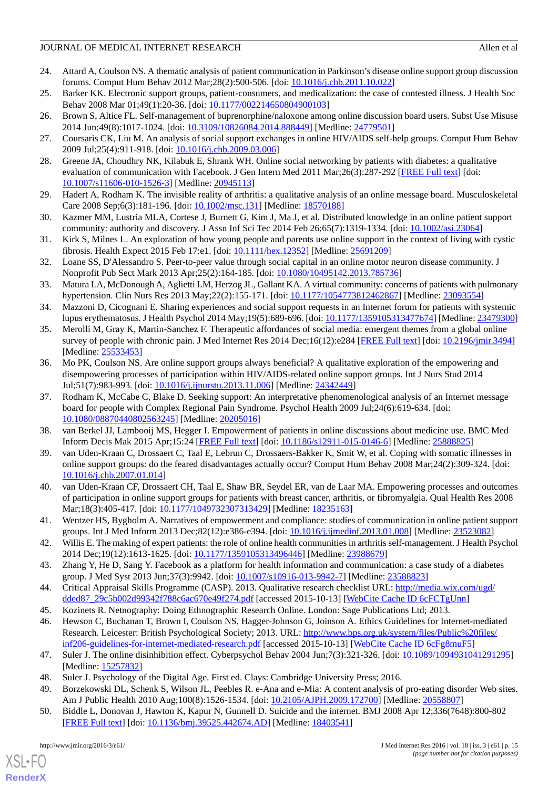- <span id="page-14-0"></span>24. Attard A, Coulson NS. A thematic analysis of patient communication in Parkinson's disease online support group discussion forums. Comput Hum Behav 2012 Mar;28(2):500-506. [doi: [10.1016/j.chb.2011.10.022](http://dx.doi.org/10.1016/j.chb.2011.10.022)]
- <span id="page-14-2"></span><span id="page-14-1"></span>25. Barker KK. Electronic support groups, patient-consumers, and medicalization: the case of contested illness. J Health Soc Behav 2008 Mar 01;49(1):20-36. [doi: [10.1177/002214650804900103](http://dx.doi.org/10.1177/002214650804900103)]
- <span id="page-14-3"></span>26. Brown S, Altice FL. Self-management of buprenorphine/naloxone among online discussion board users. Subst Use Misuse 2014 Jun;49(8):1017-1024. [doi: [10.3109/10826084.2014.888449](http://dx.doi.org/10.3109/10826084.2014.888449)] [Medline: [24779501\]](http://www.ncbi.nlm.nih.gov/entrez/query.fcgi?cmd=Retrieve&db=PubMed&list_uids=24779501&dopt=Abstract)
- <span id="page-14-4"></span>27. Coursaris CK, Liu M. An analysis of social support exchanges in online HIV/AIDS self-help groups. Comput Hum Behav 2009 Jul;25(4):911-918. [doi: [10.1016/j.chb.2009.03.006\]](http://dx.doi.org/10.1016/j.chb.2009.03.006)
- <span id="page-14-5"></span>28. Greene JA, Choudhry NK, Kilabuk E, Shrank WH. Online social networking by patients with diabetes: a qualitative evaluation of communication with Facebook. J Gen Intern Med 2011 Mar;26(3):287-292 [\[FREE Full text](http://europepmc.org/abstract/MED/20945113)] [doi: [10.1007/s11606-010-1526-3\]](http://dx.doi.org/10.1007/s11606-010-1526-3) [Medline: [20945113](http://www.ncbi.nlm.nih.gov/entrez/query.fcgi?cmd=Retrieve&db=PubMed&list_uids=20945113&dopt=Abstract)]
- <span id="page-14-6"></span>29. Hadert A, Rodham K. The invisible reality of arthritis: a qualitative analysis of an online message board. Musculoskeletal Care 2008 Sep;6(3):181-196. [doi: [10.1002/msc.131](http://dx.doi.org/10.1002/msc.131)] [Medline: [18570188](http://www.ncbi.nlm.nih.gov/entrez/query.fcgi?cmd=Retrieve&db=PubMed&list_uids=18570188&dopt=Abstract)]
- <span id="page-14-7"></span>30. Kazmer MM, Lustria MLA, Cortese J, Burnett G, Kim J, Ma J, et al. Distributed knowledge in an online patient support community: authority and discovery. J Assn Inf Sci Tec 2014 Feb 26;65(7):1319-1334. [doi: [10.1002/asi.23064\]](http://dx.doi.org/10.1002/asi.23064)
- <span id="page-14-8"></span>31. Kirk S, Milnes L. An exploration of how young people and parents use online support in the context of living with cystic fibrosis. Health Expect 2015 Feb 17:e1. [doi: [10.1111/hex.12352](http://dx.doi.org/10.1111/hex.12352)] [Medline: [25691209](http://www.ncbi.nlm.nih.gov/entrez/query.fcgi?cmd=Retrieve&db=PubMed&list_uids=25691209&dopt=Abstract)]
- <span id="page-14-9"></span>32. Loane SS, D'Alessandro S. Peer-to-peer value through social capital in an online motor neuron disease community. J Nonprofit Pub Sect Mark 2013 Apr;25(2):164-185. [doi: [10.1080/10495142.2013.785736\]](http://dx.doi.org/10.1080/10495142.2013.785736)
- <span id="page-14-10"></span>33. Matura LA, McDonough A, Aglietti LM, Herzog JL, Gallant KA. A virtual community: concerns of patients with pulmonary hypertension. Clin Nurs Res 2013 May;22(2):155-171. [doi: [10.1177/1054773812462867](http://dx.doi.org/10.1177/1054773812462867)] [Medline: [23093554](http://www.ncbi.nlm.nih.gov/entrez/query.fcgi?cmd=Retrieve&db=PubMed&list_uids=23093554&dopt=Abstract)]
- <span id="page-14-11"></span>34. Mazzoni D, Cicognani E. Sharing experiences and social support requests in an Internet forum for patients with systemic lupus erythematosus. J Health Psychol 2014 May;19(5):689-696. [doi: [10.1177/1359105313477674\]](http://dx.doi.org/10.1177/1359105313477674) [Medline: [23479300](http://www.ncbi.nlm.nih.gov/entrez/query.fcgi?cmd=Retrieve&db=PubMed&list_uids=23479300&dopt=Abstract)]
- <span id="page-14-12"></span>35. Merolli M, Gray K, Martin-Sanchez F. Therapeutic affordances of social media: emergent themes from a global online survey of people with chronic pain. J Med Internet Res 2014 Dec;16(12):e284 [[FREE Full text](http://www.jmir.org/2014/12/e284/)] [doi: [10.2196/jmir.3494](http://dx.doi.org/10.2196/jmir.3494)] [Medline: [25533453](http://www.ncbi.nlm.nih.gov/entrez/query.fcgi?cmd=Retrieve&db=PubMed&list_uids=25533453&dopt=Abstract)]
- <span id="page-14-13"></span>36. Mo PK, Coulson NS. Are online support groups always beneficial? A qualitative exploration of the empowering and disempowering processes of participation within HIV/AIDS-related online support groups. Int J Nurs Stud 2014 Jul;51(7):983-993. [doi: [10.1016/j.ijnurstu.2013.11.006\]](http://dx.doi.org/10.1016/j.ijnurstu.2013.11.006) [Medline: [24342449](http://www.ncbi.nlm.nih.gov/entrez/query.fcgi?cmd=Retrieve&db=PubMed&list_uids=24342449&dopt=Abstract)]
- <span id="page-14-15"></span><span id="page-14-14"></span>37. Rodham K, McCabe C, Blake D. Seeking support: An interpretative phenomenological analysis of an Internet message board for people with Complex Regional Pain Syndrome. Psychol Health 2009 Jul;24(6):619-634. [doi: [10.1080/08870440802563245\]](http://dx.doi.org/10.1080/08870440802563245) [Medline: [20205016\]](http://www.ncbi.nlm.nih.gov/entrez/query.fcgi?cmd=Retrieve&db=PubMed&list_uids=20205016&dopt=Abstract)
- <span id="page-14-16"></span>38. van Berkel JJ, Lambooij MS, Hegger I. Empowerment of patients in online discussions about medicine use. BMC Med Inform Decis Mak 2015 Apr;15:24 [\[FREE Full text\]](http://www.biomedcentral.com/1472-6947/15/24) [doi: [10.1186/s12911-015-0146-6](http://dx.doi.org/10.1186/s12911-015-0146-6)] [Medline: [25888825\]](http://www.ncbi.nlm.nih.gov/entrez/query.fcgi?cmd=Retrieve&db=PubMed&list_uids=25888825&dopt=Abstract)
- <span id="page-14-17"></span>39. van Uden-Kraan C, Drossaert C, Taal E, Lebrun C, Drossaers-Bakker K, Smit W, et al. Coping with somatic illnesses in online support groups: do the feared disadvantages actually occur? Comput Hum Behav 2008 Mar;24(2):309-324. [doi: [10.1016/j.chb.2007.01.014\]](http://dx.doi.org/10.1016/j.chb.2007.01.014)
- <span id="page-14-18"></span>40. van Uden-Kraan CF, Drossaert CH, Taal E, Shaw BR, Seydel ER, van de Laar MA. Empowering processes and outcomes of participation in online support groups for patients with breast cancer, arthritis, or fibromyalgia. Qual Health Res 2008 Mar;18(3):405-417. [doi: [10.1177/1049732307313429](http://dx.doi.org/10.1177/1049732307313429)] [Medline: [18235163](http://www.ncbi.nlm.nih.gov/entrez/query.fcgi?cmd=Retrieve&db=PubMed&list_uids=18235163&dopt=Abstract)]
- <span id="page-14-20"></span><span id="page-14-19"></span>41. Wentzer HS, Bygholm A. Narratives of empowerment and compliance: studies of communication in online patient support groups. Int J Med Inform 2013 Dec;82(12):e386-e394. [doi: [10.1016/j.ijmedinf.2013.01.008](http://dx.doi.org/10.1016/j.ijmedinf.2013.01.008)] [Medline: [23523082\]](http://www.ncbi.nlm.nih.gov/entrez/query.fcgi?cmd=Retrieve&db=PubMed&list_uids=23523082&dopt=Abstract)
- <span id="page-14-21"></span>42. Willis E. The making of expert patients: the role of online health communities in arthritis self-management. J Health Psychol 2014 Dec;19(12):1613-1625. [doi: [10.1177/1359105313496446](http://dx.doi.org/10.1177/1359105313496446)] [Medline: [23988679](http://www.ncbi.nlm.nih.gov/entrez/query.fcgi?cmd=Retrieve&db=PubMed&list_uids=23988679&dopt=Abstract)]
- <span id="page-14-22"></span>43. Zhang Y, He D, Sang Y. Facebook as a platform for health information and communication: a case study of a diabetes group. J Med Syst 2013 Jun;37(3):9942. [doi: [10.1007/s10916-013-9942-7\]](http://dx.doi.org/10.1007/s10916-013-9942-7) [Medline: [23588823\]](http://www.ncbi.nlm.nih.gov/entrez/query.fcgi?cmd=Retrieve&db=PubMed&list_uids=23588823&dopt=Abstract)
- <span id="page-14-23"></span>44. Critical Appraisal Skills Programme (CASP). 2013. Qualitative research checklist URL: [http://media.wix.com/ugd/](http://media.wix.com/ugd/dded87_29c5b002d99342f788c6ac670e49f274.pdf) [dded87\\_29c5b002d99342f788c6ac670e49f274.pdf](http://media.wix.com/ugd/dded87_29c5b002d99342f788c6ac670e49f274.pdf) [accessed 2015-10-13] [[WebCite Cache ID 6cFCTgUnn\]](http://www.webcitation.org/

                                6cFCTgUnn)
- <span id="page-14-24"></span>45. Kozinets R. Netnography: Doing Ethnographic Research Online. London: Sage Publications Ltd; 2013.
- <span id="page-14-25"></span>46. Hewson C, Buchanan T, Brown I, Coulson NS, Hagger-Johnson G, Joinson A. Ethics Guidelines for Internet-mediated Research. Leicester: British Psychological Society; 2013. URL: [http://www.bps.org.uk/system/files/Public%20files/](http://www.bps.org.uk/system/files/Public%20files/inf206-guidelines-for-internet-mediated-research.pdf) [inf206-guidelines-for-internet-mediated-research.pdf](http://www.bps.org.uk/system/files/Public%20files/inf206-guidelines-for-internet-mediated-research.pdf) [accessed 2015-10-13] [\[WebCite Cache ID 6cFg8muF5\]](http://www.webcitation.org/

                                6cFg8muF5)
- 47. Suler J. The online disinhibition effect. Cyberpsychol Behav 2004 Jun;7(3):321-326. [doi: [10.1089/1094931041291295\]](http://dx.doi.org/10.1089/1094931041291295) [Medline: [15257832](http://www.ncbi.nlm.nih.gov/entrez/query.fcgi?cmd=Retrieve&db=PubMed&list_uids=15257832&dopt=Abstract)]
- 48. Suler J. Psychology of the Digital Age. First ed. Clays: Cambridge University Press; 2016.
- 49. Borzekowski DL, Schenk S, Wilson JL, Peebles R. e-Ana and e-Mia: A content analysis of pro-eating disorder Web sites. Am J Public Health 2010 Aug;100(8):1526-1534. [doi: [10.2105/AJPH.2009.172700\]](http://dx.doi.org/10.2105/AJPH.2009.172700) [Medline: [20558807](http://www.ncbi.nlm.nih.gov/entrez/query.fcgi?cmd=Retrieve&db=PubMed&list_uids=20558807&dopt=Abstract)]
- 50. Biddle L, Donovan J, Hawton K, Kapur N, Gunnell D. Suicide and the internet. BMJ 2008 Apr 12;336(7648):800-802 [[FREE Full text](http://europepmc.org/abstract/MED/18403541)] [doi: [10.1136/bmj.39525.442674.AD](http://dx.doi.org/10.1136/bmj.39525.442674.AD)] [Medline: [18403541](http://www.ncbi.nlm.nih.gov/entrez/query.fcgi?cmd=Retrieve&db=PubMed&list_uids=18403541&dopt=Abstract)]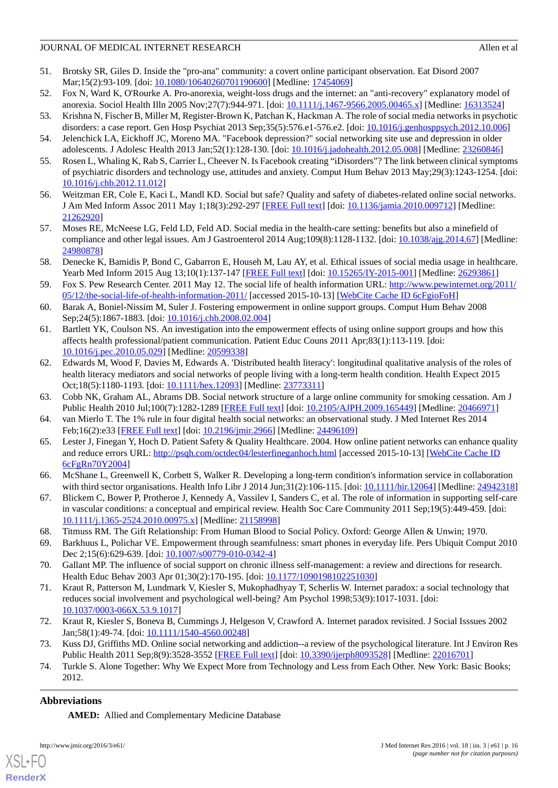- 51. Brotsky SR, Giles D. Inside the "pro-ana" community: a covert online participant observation. Eat Disord 2007 Mar;15(2):93-109. [doi: [10.1080/10640260701190600](http://dx.doi.org/10.1080/10640260701190600)] [Medline: [17454069](http://www.ncbi.nlm.nih.gov/entrez/query.fcgi?cmd=Retrieve&db=PubMed&list_uids=17454069&dopt=Abstract)]
- 52. Fox N, Ward K, O'Rourke A. Pro-anorexia, weight-loss drugs and the internet: an "anti-recovery" explanatory model of anorexia. Sociol Health Illn 2005 Nov; 27(7): 944-971. [doi: [10.1111/j.1467-9566.2005.00465.x](http://dx.doi.org/10.1111/j.1467-9566.2005.00465.x)] [Medline: [16313524](http://www.ncbi.nlm.nih.gov/entrez/query.fcgi?cmd=Retrieve&db=PubMed&list_uids=16313524&dopt=Abstract)]
- 53. Krishna N, Fischer B, Miller M, Register-Brown K, Patchan K, Hackman A. The role of social media networks in psychotic disorders: a case report. Gen Hosp Psychiat 2013 Sep;35(5):576.e1-576.e2. [doi: [10.1016/j.genhosppsych.2012.10.006](http://dx.doi.org/10.1016/j.genhosppsych.2012.10.006)]
- 54. Jelenchick LA, Eickhoff JC, Moreno MA. "Facebook depression?" social networking site use and depression in older adolescents. J Adolesc Health 2013 Jan;52(1):128-130. [doi: [10.1016/j.jadohealth.2012.05.008\]](http://dx.doi.org/10.1016/j.jadohealth.2012.05.008) [Medline: [23260846\]](http://www.ncbi.nlm.nih.gov/entrez/query.fcgi?cmd=Retrieve&db=PubMed&list_uids=23260846&dopt=Abstract)
- 55. Rosen L, Whaling K, Rab S, Carrier L, Cheever N. Is Facebook creating "iDisorders"? The link between clinical symptoms of psychiatric disorders and technology use, attitudes and anxiety. Comput Hum Behav 2013 May;29(3):1243-1254. [doi: [10.1016/j.chb.2012.11.012\]](http://dx.doi.org/10.1016/j.chb.2012.11.012)
- <span id="page-15-0"></span>56. Weitzman ER, Cole E, Kaci L, Mandl KD. Social but safe? Quality and safety of diabetes-related online social networks. J Am Med Inform Assoc 2011 May 1;18(3):292-297 [\[FREE Full text\]](http://jamia.oxfordjournals.org/cgi/pmidlookup?view=long&pmid=21262920) [doi: [10.1136/jamia.2010.009712](http://dx.doi.org/10.1136/jamia.2010.009712)] [Medline: [21262920](http://www.ncbi.nlm.nih.gov/entrez/query.fcgi?cmd=Retrieve&db=PubMed&list_uids=21262920&dopt=Abstract)]
- <span id="page-15-1"></span>57. Moses RE, McNeese LG, Feld LD, Feld AD. Social media in the health-care setting: benefits but also a minefield of compliance and other legal issues. Am J Gastroenterol 2014 Aug;109(8):1128-1132. [doi: [10.1038/ajg.2014.67\]](http://dx.doi.org/10.1038/ajg.2014.67) [Medline: [24980878](http://www.ncbi.nlm.nih.gov/entrez/query.fcgi?cmd=Retrieve&db=PubMed&list_uids=24980878&dopt=Abstract)]
- <span id="page-15-2"></span>58. Denecke K, Bamidis P, Bond C, Gabarron E, Househ M, Lau AY, et al. Ethical issues of social media usage in healthcare. Yearb Med Inform 2015 Aug 13;10(1):137-147 [\[FREE Full text\]](http://europepmc.org/abstract/MED/26293861) [doi: [10.15265/IY-2015-001](http://dx.doi.org/10.15265/IY-2015-001)] [Medline: [26293861\]](http://www.ncbi.nlm.nih.gov/entrez/query.fcgi?cmd=Retrieve&db=PubMed&list_uids=26293861&dopt=Abstract)
- <span id="page-15-3"></span>59. Fox S. Pew Research Center. 2011 May 12. The social life of health information URL: [http://www.pewinternet.org/2011/](http://www.pewinternet.org/2011/05/12/the-social-life-of-health-information-2011/) [05/12/the-social-life-of-health-information-2011/](http://www.pewinternet.org/2011/05/12/the-social-life-of-health-information-2011/) [accessed 2015-10-13] [[WebCite Cache ID 6cFgioFoH](http://www.webcitation.org/

                                6cFgioFoH)]
- <span id="page-15-4"></span>60. Barak A, Boniel-Nissim M, Suler J. Fostering empowerment in online support groups. Comput Hum Behav 2008 Sep; 24(5): 1867-1883. [doi: [10.1016/j.chb.2008.02.004\]](http://dx.doi.org/10.1016/j.chb.2008.02.004)
- <span id="page-15-5"></span>61. Bartlett YK, Coulson NS. An investigation into the empowerment effects of using online support groups and how this affects health professional/patient communication. Patient Educ Couns 2011 Apr;83(1):113-119. [doi: [10.1016/j.pec.2010.05.029\]](http://dx.doi.org/10.1016/j.pec.2010.05.029) [Medline: [20599338](http://www.ncbi.nlm.nih.gov/entrez/query.fcgi?cmd=Retrieve&db=PubMed&list_uids=20599338&dopt=Abstract)]
- <span id="page-15-7"></span><span id="page-15-6"></span>62. Edwards M, Wood F, Davies M, Edwards A. 'Distributed health literacy': longitudinal qualitative analysis of the roles of health literacy mediators and social networks of people living with a long-term health condition. Health Expect 2015 Oct;18(5):1180-1193. [doi: [10.1111/hex.12093\]](http://dx.doi.org/10.1111/hex.12093) [Medline: [23773311\]](http://www.ncbi.nlm.nih.gov/entrez/query.fcgi?cmd=Retrieve&db=PubMed&list_uids=23773311&dopt=Abstract)
- <span id="page-15-8"></span>63. Cobb NK, Graham AL, Abrams DB. Social network structure of a large online community for smoking cessation. Am J Public Health 2010 Jul;100(7):1282-1289 [\[FREE Full text\]](http://europepmc.org/abstract/MED/20466971) [doi: [10.2105/AJPH.2009.165449](http://dx.doi.org/10.2105/AJPH.2009.165449)] [Medline: [20466971\]](http://www.ncbi.nlm.nih.gov/entrez/query.fcgi?cmd=Retrieve&db=PubMed&list_uids=20466971&dopt=Abstract)
- <span id="page-15-9"></span>64. van Mierlo T. The 1% rule in four digital health social networks: an observational study. J Med Internet Res 2014 Feb;16(2):e33 [\[FREE Full text](http://www.jmir.org/2014/2/e33/)] [doi: [10.2196/jmir.2966](http://dx.doi.org/10.2196/jmir.2966)] [Medline: [24496109](http://www.ncbi.nlm.nih.gov/entrez/query.fcgi?cmd=Retrieve&db=PubMed&list_uids=24496109&dopt=Abstract)]
- <span id="page-15-10"></span>65. Lester J, Finegan Y, Hoch D. Patient Safety & Quality Healthcare. 2004. How online patient networks can enhance quality and reduce errors URL: <http://psqh.com/octdec04/lesterfineganhoch.html> [accessed 2015-10-13] [\[WebCite Cache ID](http://www.webcitation.org/

                                6cFgRn70Y2004) [6cFgRn70Y2004](http://www.webcitation.org/

                                6cFgRn70Y2004)]
- <span id="page-15-11"></span>66. McShane L, Greenwell K, Corbett S, Walker R. Developing a long-term condition's information service in collaboration with third sector organisations. Health Info Libr J 2014 Jun;31(2):106-115. [doi: [10.1111/hir.12064\]](http://dx.doi.org/10.1111/hir.12064) [Medline: [24942318](http://www.ncbi.nlm.nih.gov/entrez/query.fcgi?cmd=Retrieve&db=PubMed&list_uids=24942318&dopt=Abstract)]
- <span id="page-15-13"></span><span id="page-15-12"></span>67. Blickem C, Bower P, Protheroe J, Kennedy A, Vassilev I, Sanders C, et al. The role of information in supporting self-care in vascular conditions: a conceptual and empirical review. Health Soc Care Community 2011 Sep;19(5):449-459. [doi: [10.1111/j.1365-2524.2010.00975.x\]](http://dx.doi.org/10.1111/j.1365-2524.2010.00975.x) [Medline: [21158998\]](http://www.ncbi.nlm.nih.gov/entrez/query.fcgi?cmd=Retrieve&db=PubMed&list_uids=21158998&dopt=Abstract)
- <span id="page-15-14"></span>68. Titmuss RM. The Gift Relationship: From Human Blood to Social Policy. Oxford: George Allen & Unwin; 1970.
- 69. Barkhuus L, Polichar VE. Empowerment through seamfulness: smart phones in everyday life. Pers Ubiquit Comput 2010 Dec 2;15(6):629-639. [doi: [10.1007/s00779-010-0342-4](http://dx.doi.org/10.1007/s00779-010-0342-4)]
- <span id="page-15-15"></span>70. Gallant MP. The influence of social support on chronic illness self-management: a review and directions for research. Health Educ Behav 2003 Apr 01;30(2):170-195. [doi: [10.1177/1090198102251030](http://dx.doi.org/10.1177/1090198102251030)]
- <span id="page-15-17"></span><span id="page-15-16"></span>71. Kraut R, Patterson M, Lundmark V, Kiesler S, Mukophadhyay T, Scherlis W. Internet paradox: a social technology that reduces social involvement and psychological well-being? Am Psychol 1998;53(9):1017-1031. [doi: [10.1037/0003-066X.53.9.1017\]](http://dx.doi.org/10.1037/0003-066X.53.9.1017)
- 72. Kraut R, Kiesler S, Boneva B, Cummings J, Helgeson V, Crawford A. Internet paradox revisited. J Social Isssues 2002 Jan;58(1):49-74. [doi: [10.1111/1540-4560.00248\]](http://dx.doi.org/10.1111/1540-4560.00248)
- 73. Kuss DJ, Griffiths MD. Online social networking and addiction--a review of the psychological literature. Int J Environ Res Public Health 2011 Sep;8(9):3528-3552 [[FREE Full text](http://www.mdpi.com/resolver?pii=ijerph-08-03528)] [doi: [10.3390/ijerph8093528\]](http://dx.doi.org/10.3390/ijerph8093528) [Medline: [22016701\]](http://www.ncbi.nlm.nih.gov/entrez/query.fcgi?cmd=Retrieve&db=PubMed&list_uids=22016701&dopt=Abstract)
- 74. Turkle S. Alone Together: Why We Expect More from Technology and Less from Each Other. New York: Basic Books; 2012.

## **Abbreviations**

**AMED:** Allied and Complementary Medicine Database